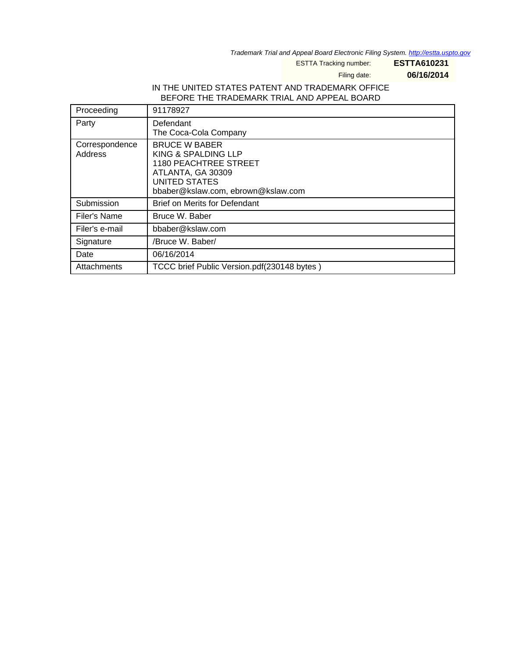Trademark Trial and Appeal Board Electronic Filing System. <http://estta.uspto.gov>

ESTTA Tracking number: **ESTTA610231**

Filing date: **06/16/2014**

### IN THE UNITED STATES PATENT AND TRADEMARK OFFICE BEFORE THE TRADEMARK TRIAL AND APPEAL BOARD

| Proceeding                | 91178927                                                                                                                                         |
|---------------------------|--------------------------------------------------------------------------------------------------------------------------------------------------|
| Party                     | Defendant<br>The Coca-Cola Company                                                                                                               |
| Correspondence<br>Address | <b>BRUCE W BABER</b><br>KING & SPALDING LLP<br>1180 PEACHTREE STREET<br>ATLANTA, GA 30309<br>UNITED STATES<br>bbaber@kslaw.com, ebrown@kslaw.com |
| Submission                | <b>Brief on Merits for Defendant</b>                                                                                                             |
| Filer's Name              | Bruce W. Baber                                                                                                                                   |
| Filer's e-mail            | bbaber@kslaw.com                                                                                                                                 |
| Signature                 | /Bruce W. Baber/                                                                                                                                 |
| Date                      | 06/16/2014                                                                                                                                       |
| Attachments               | TCCC brief Public Version.pdf(230148 bytes)                                                                                                      |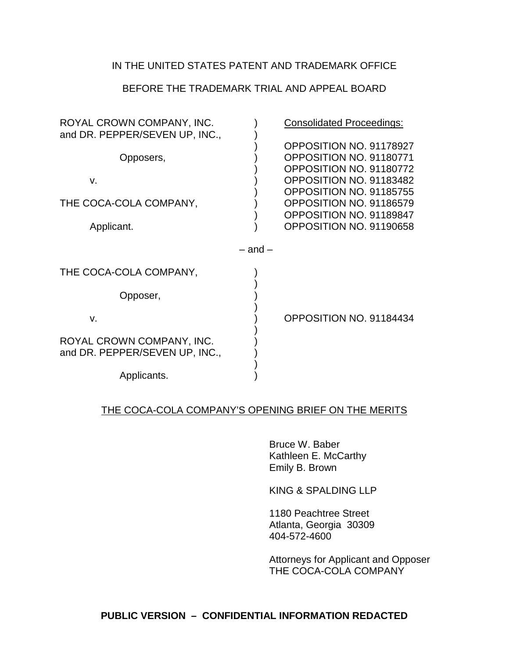# IN THE UNITED STATES PATENT AND TRADEMARK OFFICE

## BEFORE THE TRADEMARK TRIAL AND APPEAL BOARD

| ROYAL CROWN COMPANY, INC.<br>and DR. PEPPER/SEVEN UP, INC., |             | <b>Consolidated Proceedings:</b>                                                                         |
|-------------------------------------------------------------|-------------|----------------------------------------------------------------------------------------------------------|
| Opposers,<br>V.                                             |             | OPPOSITION NO. 91178927<br>OPPOSITION NO. 91180771<br>OPPOSITION NO. 91180772<br>OPPOSITION NO. 91183482 |
| THE COCA-COLA COMPANY,<br>Applicant.                        |             | OPPOSITION NO. 91185755<br>OPPOSITION NO. 91186579<br>OPPOSITION NO. 91189847<br>OPPOSITION NO. 91190658 |
|                                                             | $-$ and $-$ |                                                                                                          |
| THE COCA-COLA COMPANY,                                      |             |                                                                                                          |
| Opposer,                                                    |             |                                                                                                          |
| V.                                                          |             | OPPOSITION NO. 91184434                                                                                  |
| ROYAL CROWN COMPANY, INC.<br>and DR. PEPPER/SEVEN UP, INC., |             |                                                                                                          |
| Applicants.                                                 |             |                                                                                                          |

## THE COCA-COLA COMPANY'S OPENING BRIEF ON THE MERITS

Bruce W. Baber Kathleen E. McCarthy Emily B. Brown

KING & SPALDING LLP

1180 Peachtree Street Atlanta, Georgia 30309 404-572-4600

Attorneys for Applicant and Opposer THE COCA-COLA COMPANY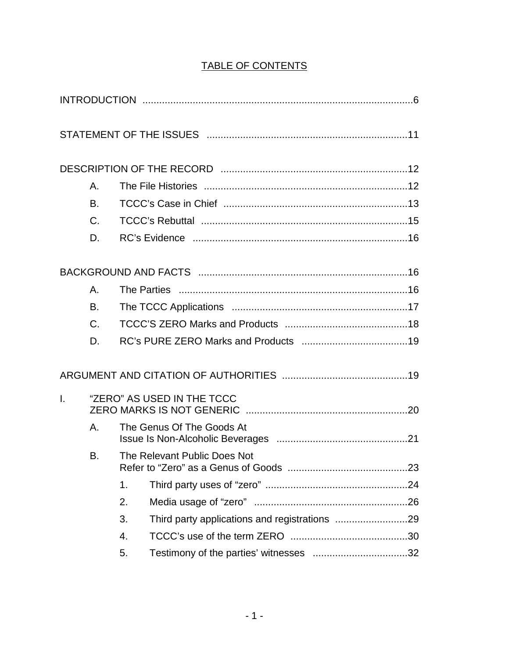# TABLE OF CONTENTS

|              | Α.                                                                                                                                            |  |  |  |  |  |  |
|--------------|-----------------------------------------------------------------------------------------------------------------------------------------------|--|--|--|--|--|--|
|              | <b>B.</b>                                                                                                                                     |  |  |  |  |  |  |
|              | $C_{\cdot}$                                                                                                                                   |  |  |  |  |  |  |
|              | D.                                                                                                                                            |  |  |  |  |  |  |
|              |                                                                                                                                               |  |  |  |  |  |  |
|              | Α.                                                                                                                                            |  |  |  |  |  |  |
|              | B.                                                                                                                                            |  |  |  |  |  |  |
|              | C.<br>D.<br>"ZERO" AS USED IN THE TCCC<br>Α.<br>The Genus Of The Goods At<br>B.<br>The Relevant Public Does Not<br>1.<br>2.<br>3.<br>4.<br>5. |  |  |  |  |  |  |
|              |                                                                                                                                               |  |  |  |  |  |  |
|              |                                                                                                                                               |  |  |  |  |  |  |
| $\mathbf{L}$ |                                                                                                                                               |  |  |  |  |  |  |
|              |                                                                                                                                               |  |  |  |  |  |  |
|              |                                                                                                                                               |  |  |  |  |  |  |
|              |                                                                                                                                               |  |  |  |  |  |  |
|              |                                                                                                                                               |  |  |  |  |  |  |
|              |                                                                                                                                               |  |  |  |  |  |  |
|              |                                                                                                                                               |  |  |  |  |  |  |
|              |                                                                                                                                               |  |  |  |  |  |  |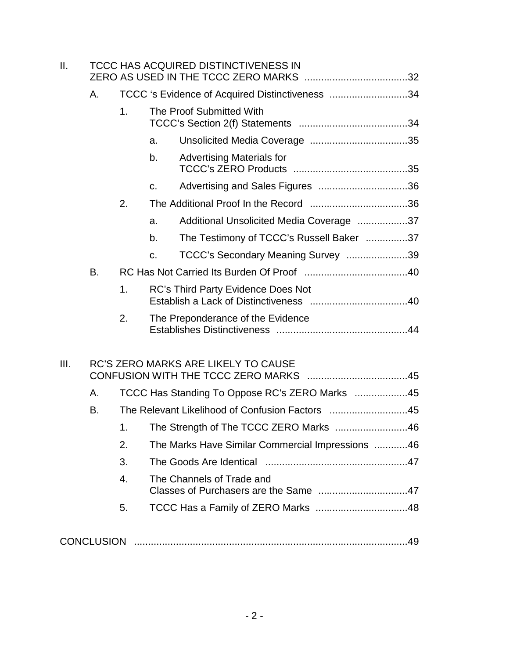| Ш.   |    | TCCC HAS ACQUIRED DISTINCTIVENESS IN            |                                           |                                                  |  |  |  |  |  |
|------|----|-------------------------------------------------|-------------------------------------------|--------------------------------------------------|--|--|--|--|--|
|      | А. | TCCC 's Evidence of Acquired Distinctiveness 34 |                                           |                                                  |  |  |  |  |  |
|      |    | 1.                                              | The Proof Submitted With                  |                                                  |  |  |  |  |  |
|      |    |                                                 | a.                                        |                                                  |  |  |  |  |  |
|      |    |                                                 | b.                                        | <b>Advertising Materials for</b>                 |  |  |  |  |  |
|      |    |                                                 | C.                                        |                                                  |  |  |  |  |  |
|      |    | 2.                                              |                                           |                                                  |  |  |  |  |  |
|      |    |                                                 | a.                                        | Additional Unsolicited Media Coverage 37         |  |  |  |  |  |
|      |    |                                                 | b.                                        | The Testimony of TCCC's Russell Baker 37         |  |  |  |  |  |
|      |    |                                                 | $C_{\cdot}$                               | TCCC's Secondary Meaning Survey 39               |  |  |  |  |  |
|      | B. |                                                 |                                           |                                                  |  |  |  |  |  |
|      |    | $\mathbf 1$ .                                   | <b>RC's Third Party Evidence Does Not</b> |                                                  |  |  |  |  |  |
|      |    | 2.                                              |                                           | The Preponderance of the Evidence                |  |  |  |  |  |
| III. |    |                                                 |                                           | RC'S ZERO MARKS ARE LIKELY TO CAUSE              |  |  |  |  |  |
|      | А. |                                                 |                                           | TCCC Has Standing To Oppose RC's ZERO Marks 45   |  |  |  |  |  |
|      | B. |                                                 |                                           | The Relevant Likelihood of Confusion Factors 45  |  |  |  |  |  |
|      |    | 1.                                              |                                           | The Strength of The TCCC ZERO Marks 46           |  |  |  |  |  |
|      |    | 2.                                              |                                           | The Marks Have Similar Commercial Impressions 46 |  |  |  |  |  |
|      |    | 3.                                              |                                           |                                                  |  |  |  |  |  |
|      |    | $\overline{4}$ .                                |                                           | The Channels of Trade and                        |  |  |  |  |  |
|      |    | 5.                                              |                                           |                                                  |  |  |  |  |  |
|      |    |                                                 |                                           |                                                  |  |  |  |  |  |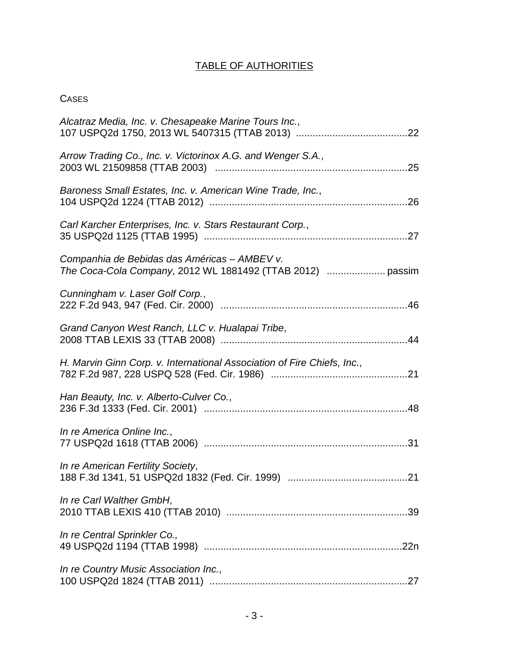# TABLE OF AUTHORITIES

# **CASES**

| Alcatraz Media, Inc. v. Chesapeake Marine Tours Inc.,                   |
|-------------------------------------------------------------------------|
| Arrow Trading Co., Inc. v. Victorinox A.G. and Wenger S.A.,             |
| Baroness Small Estates, Inc. v. American Wine Trade, Inc.,              |
| Carl Karcher Enterprises, Inc. v. Stars Restaurant Corp.,               |
| Companhia de Bebidas das Américas - AMBEV v.                            |
| Cunningham v. Laser Golf Corp.,                                         |
| Grand Canyon West Ranch, LLC v. Hualapai Tribe,                         |
| H. Marvin Ginn Corp. v. International Association of Fire Chiefs, Inc., |
| Han Beauty, Inc. v. Alberto-Culver Co.,                                 |
| In re America Online Inc.,                                              |
| In re American Fertility Society,                                       |
| In re Carl Walther GmbH,                                                |
| In re Central Sprinkler Co.,                                            |
| In re Country Music Association Inc.,                                   |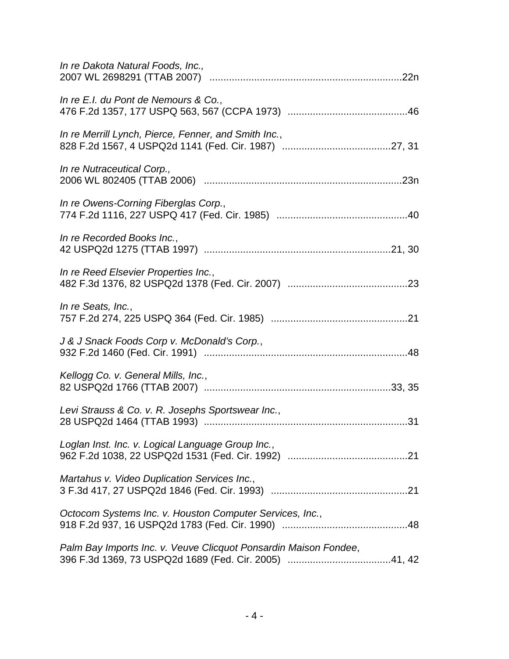| In re Dakota Natural Foods, Inc.,                                |
|------------------------------------------------------------------|
| In re E.I. du Pont de Nemours & Co.,                             |
| In re Merrill Lynch, Pierce, Fenner, and Smith Inc.,             |
| In re Nutraceutical Corp.,                                       |
| In re Owens-Corning Fiberglas Corp.,                             |
| In re Recorded Books Inc.,                                       |
| In re Reed Elsevier Properties Inc.,                             |
| In re Seats, Inc.,                                               |
| J & J Snack Foods Corp v. McDonald's Corp.,                      |
| Kellogg Co. v. General Mills, Inc.,                              |
| Levi Strauss & Co. v. R. Josephs Sportswear Inc.,                |
| Loglan Inst. Inc. v. Logical Language Group Inc.,                |
| Martahus v. Video Duplication Services Inc.,                     |
| Octocom Systems Inc. v. Houston Computer Services, Inc.,         |
| Palm Bay Imports Inc. v. Veuve Clicquot Ponsardin Maison Fondee, |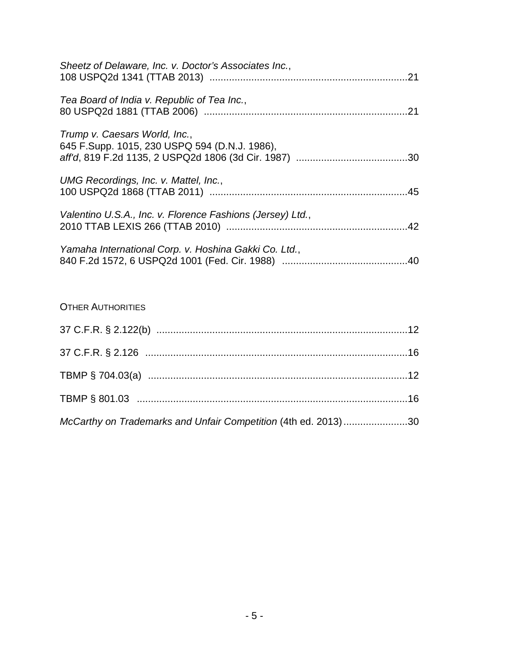| Sheetz of Delaware, Inc. v. Doctor's Associates Inc.,                          |  |
|--------------------------------------------------------------------------------|--|
| Tea Board of India v. Republic of Tea Inc.,                                    |  |
| Trump v. Caesars World, Inc.,<br>645 F.Supp. 1015, 230 USPQ 594 (D.N.J. 1986), |  |
| UMG Recordings, Inc. v. Mattel, Inc.,                                          |  |
| Valentino U.S.A., Inc. v. Florence Fashions (Jersey) Ltd.,                     |  |
| Yamaha International Corp. v. Hoshina Gakki Co. Ltd.,                          |  |

# OTHER AUTHORITIES

<span id="page-6-0"></span>

| McCarthy on Trademarks and Unfair Competition (4th ed. 2013) 30 |  |
|-----------------------------------------------------------------|--|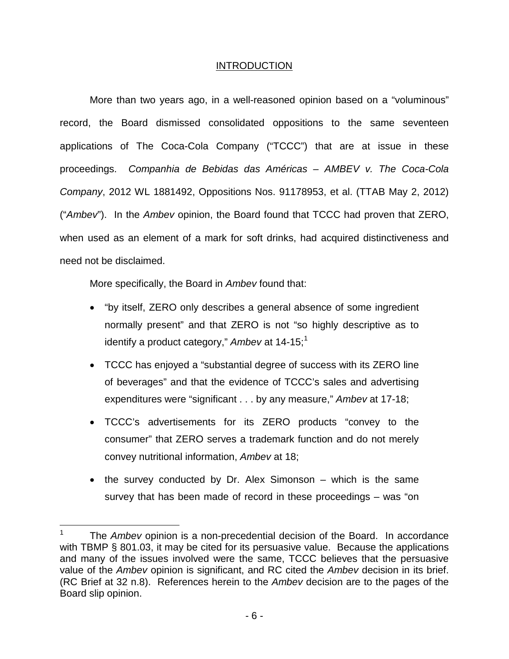## INTRODUCTION

More than two years ago, in a well-reasoned opinion based on a "voluminous" record, the Board dismissed consolidated oppositions to the same seventeen applications of The Coca-Cola Company ("TCCC") that are at issue in these proceedings. Companhia de Bebidas das Américas – AMBEV v. The Coca-Cola Company, 2012 WL 1881492, Oppositions Nos. 91178953, et al. (TTAB May 2, 2012) ("Ambev"). In the Ambev opinion, the Board found that TCCC had proven that ZERO, when used as an element of a mark for soft drinks, had acquired distinctiveness and need not be disclaimed.

More specifically, the Board in Ambey found that:

 $\overline{a}$ 

- "by itself, ZERO only describes a general absence of some ingredient normally present" and that ZERO is not "so highly descriptive as to identify a product category," Ambev at  $14-15$  $14-15$ ;<sup>1</sup>
- TCCC has enjoyed a "substantial degree of success with its ZERO line of beverages" and that the evidence of TCCC's sales and advertising expenditures were "significant . . . by any measure," Ambev at 17-18;
- TCCC's advertisements for its ZERO products "convey to the consumer" that ZERO serves a trademark function and do not merely convey nutritional information, Ambev at 18;
- the survey conducted by Dr. Alex Simonson which is the same survey that has been made of record in these proceedings – was "on

<sup>1</sup> The Ambey opinion is a non-precedential decision of the Board. In accordance with TBMP § 801.03, it may be cited for its persuasive value. Because the applications and many of the issues involved were the same, TCCC believes that the persuasive value of the Ambey opinion is significant, and RC cited the Ambey decision in its brief. (RC Brief at 32 n.8). References herein to the Ambev decision are to the pages of the Board slip opinion.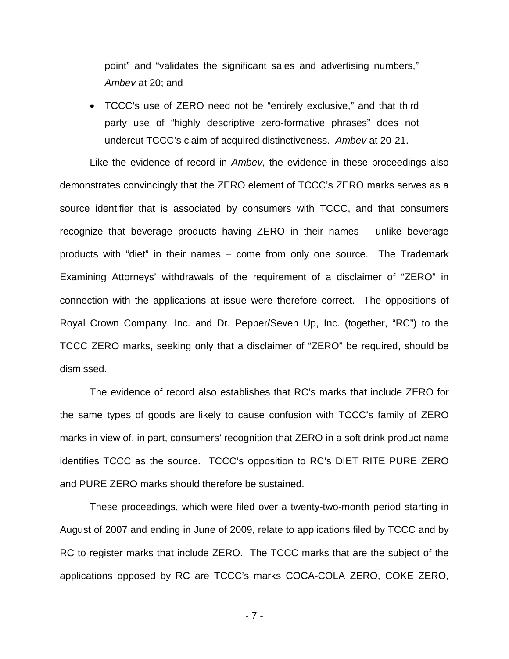point" and "validates the significant sales and advertising numbers," Ambev at 20; and

• TCCC's use of ZERO need not be "entirely exclusive," and that third party use of "highly descriptive zero-formative phrases" does not undercut TCCC's claim of acquired distinctiveness. Ambev at 20-21.

Like the evidence of record in Ambey, the evidence in these proceedings also demonstrates convincingly that the ZERO element of TCCC's ZERO marks serves as a source identifier that is associated by consumers with TCCC, and that consumers recognize that beverage products having ZERO in their names – unlike beverage products with "diet" in their names – come from only one source. The Trademark Examining Attorneys' withdrawals of the requirement of a disclaimer of "ZERO" in connection with the applications at issue were therefore correct. The oppositions of Royal Crown Company, Inc. and Dr. Pepper/Seven Up, Inc. (together, "RC") to the TCCC ZERO marks, seeking only that a disclaimer of "ZERO" be required, should be dismissed.

The evidence of record also establishes that RC's marks that include ZERO for the same types of goods are likely to cause confusion with TCCC's family of ZERO marks in view of, in part, consumers' recognition that ZERO in a soft drink product name identifies TCCC as the source. TCCC's opposition to RC's DIET RITE PURE ZERO and PURE ZERO marks should therefore be sustained.

These proceedings, which were filed over a twenty-two-month period starting in August of 2007 and ending in June of 2009, relate to applications filed by TCCC and by RC to register marks that include ZERO. The TCCC marks that are the subject of the applications opposed by RC are TCCC's marks COCA-COLA ZERO, COKE ZERO,

- 7 -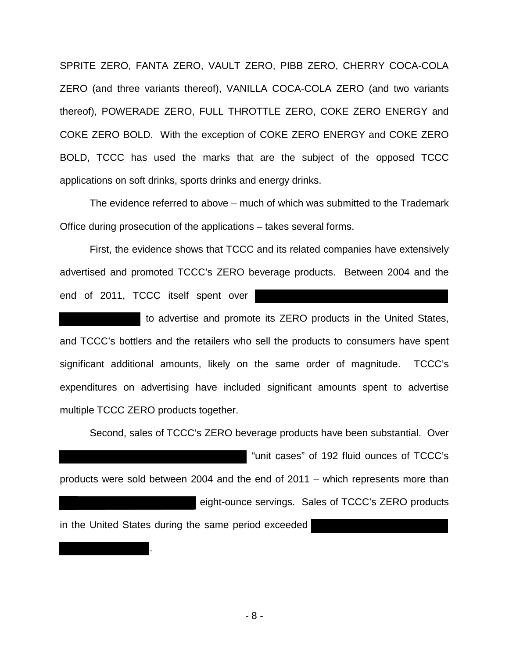SPRITE ZERO, FANTA ZERO, VAULT ZERO, PIBB ZERO, CHERRY COCA-COLA ZERO (and three variants thereof), VANILLA COCA-COLA ZERO (and two variants thereof), POWERADE ZERO, FULL THROTTLE ZERO, COKE ZERO ENERGY and COKE ZERO BOLD. With the exception of COKE ZERO ENERGY and COKE ZERO BOLD, TCCC has used the marks that are the subject of the opposed TCCC applications on soft drinks, sports drinks and energy drinks.

The evidence referred to above – much of which was submitted to the Trademark Office during prosecution of the applications – takes several forms.

First, the evidence shows that TCCC and its related companies have extensively advertised and promoted TCCC's ZERO beverage products. Between 2004 and the end of 2011, TCCC itself spent over

 to advertise and promote its ZERO products in the United States, and TCCC's bottlers and the retailers who sell the products to consumers have spent significant additional amounts, likely on the same order of magnitude. TCCC's expenditures on advertising have included significant amounts spent to advertise multiple TCCC ZERO products together.

Second, sales of TCCC's ZERO beverage products have been substantial. Over "unit cases" of 192 fluid ounces of TCCC's products were sold between 2004 and the end of 2011 – which represents more than eight-ounce servings. Sales of TCCC's ZERO products in the United States during the same period exceeded

.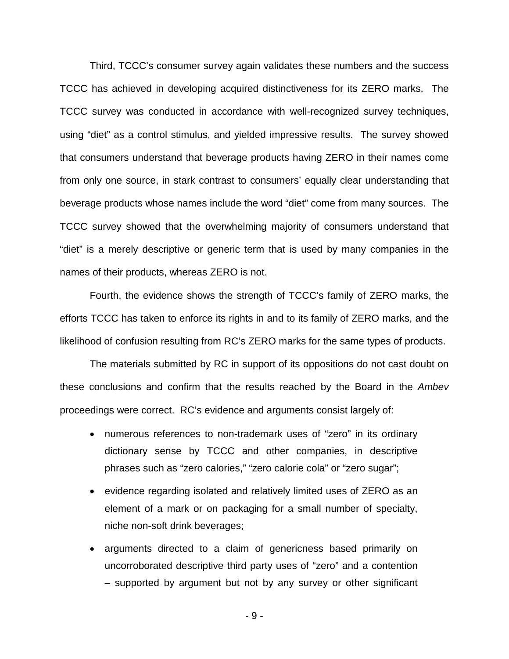Third, TCCC's consumer survey again validates these numbers and the success TCCC has achieved in developing acquired distinctiveness for its ZERO marks. The TCCC survey was conducted in accordance with well-recognized survey techniques, using "diet" as a control stimulus, and yielded impressive results. The survey showed that consumers understand that beverage products having ZERO in their names come from only one source, in stark contrast to consumers' equally clear understanding that beverage products whose names include the word "diet" come from many sources. The TCCC survey showed that the overwhelming majority of consumers understand that "diet" is a merely descriptive or generic term that is used by many companies in the names of their products, whereas ZERO is not.

Fourth, the evidence shows the strength of TCCC's family of ZERO marks, the efforts TCCC has taken to enforce its rights in and to its family of ZERO marks, and the likelihood of confusion resulting from RC's ZERO marks for the same types of products.

The materials submitted by RC in support of its oppositions do not cast doubt on these conclusions and confirm that the results reached by the Board in the Ambev proceedings were correct. RC's evidence and arguments consist largely of:

- numerous references to non-trademark uses of "zero" in its ordinary dictionary sense by TCCC and other companies, in descriptive phrases such as "zero calories," "zero calorie cola" or "zero sugar";
- evidence regarding isolated and relatively limited uses of ZERO as an element of a mark or on packaging for a small number of specialty, niche non-soft drink beverages;
- arguments directed to a claim of genericness based primarily on uncorroborated descriptive third party uses of "zero" and a contention – supported by argument but not by any survey or other significant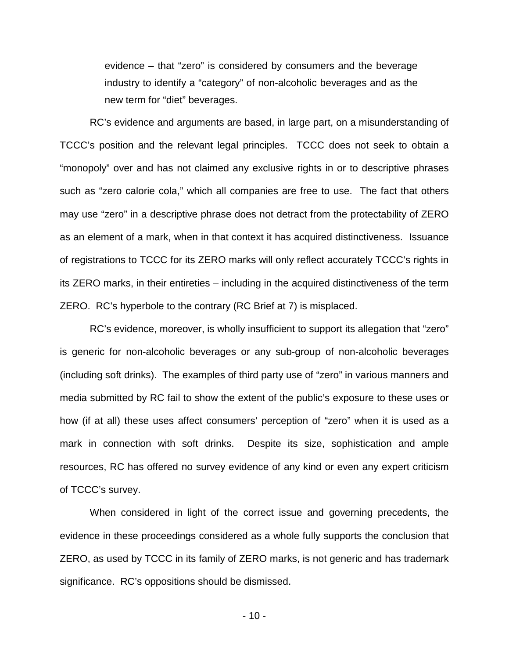evidence – that "zero" is considered by consumers and the beverage industry to identify a "category" of non-alcoholic beverages and as the new term for "diet" beverages.

RC's evidence and arguments are based, in large part, on a misunderstanding of TCCC's position and the relevant legal principles. TCCC does not seek to obtain a "monopoly" over and has not claimed any exclusive rights in or to descriptive phrases such as "zero calorie cola," which all companies are free to use. The fact that others may use "zero" in a descriptive phrase does not detract from the protectability of ZERO as an element of a mark, when in that context it has acquired distinctiveness. Issuance of registrations to TCCC for its ZERO marks will only reflect accurately TCCC's rights in its ZERO marks, in their entireties – including in the acquired distinctiveness of the term ZERO. RC's hyperbole to the contrary (RC Brief at 7) is misplaced.

RC's evidence, moreover, is wholly insufficient to support its allegation that "zero" is generic for non-alcoholic beverages or any sub-group of non-alcoholic beverages (including soft drinks). The examples of third party use of "zero" in various manners and media submitted by RC fail to show the extent of the public's exposure to these uses or how (if at all) these uses affect consumers' perception of "zero" when it is used as a mark in connection with soft drinks. Despite its size, sophistication and ample resources, RC has offered no survey evidence of any kind or even any expert criticism of TCCC's survey.

When considered in light of the correct issue and governing precedents, the evidence in these proceedings considered as a whole fully supports the conclusion that ZERO, as used by TCCC in its family of ZERO marks, is not generic and has trademark significance. RC's oppositions should be dismissed.

- 10 -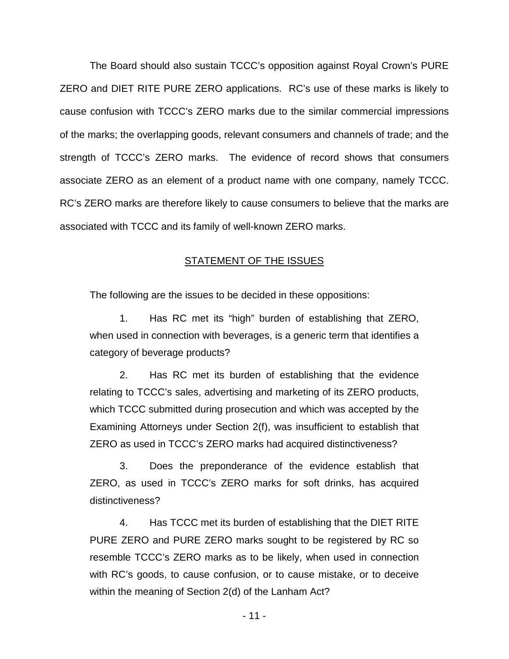The Board should also sustain TCCC's opposition against Royal Crown's PURE ZERO and DIET RITE PURE ZERO applications. RC's use of these marks is likely to cause confusion with TCCC's ZERO marks due to the similar commercial impressions of the marks; the overlapping goods, relevant consumers and channels of trade; and the strength of TCCC's ZERO marks. The evidence of record shows that consumers associate ZERO as an element of a product name with one company, namely TCCC. RC's ZERO marks are therefore likely to cause consumers to believe that the marks are associated with TCCC and its family of well-known ZERO marks.

### **STATEMENT OF THE ISSUES**

The following are the issues to be decided in these oppositions:

1. Has RC met its "high" burden of establishing that ZERO, when used in connection with beverages, is a generic term that identifies a category of beverage products?

2. Has RC met its burden of establishing that the evidence relating to TCCC's sales, advertising and marketing of its ZERO products, which TCCC submitted during prosecution and which was accepted by the Examining Attorneys under Section 2(f), was insufficient to establish that ZERO as used in TCCC's ZERO marks had acquired distinctiveness?

 3. Does the preponderance of the evidence establish that ZERO, as used in TCCC's ZERO marks for soft drinks, has acquired distinctiveness?

 4. Has TCCC met its burden of establishing that the DIET RITE PURE ZERO and PURE ZERO marks sought to be registered by RC so resemble TCCC's ZERO marks as to be likely, when used in connection with RC's goods, to cause confusion, or to cause mistake, or to deceive within the meaning of Section 2(d) of the Lanham Act?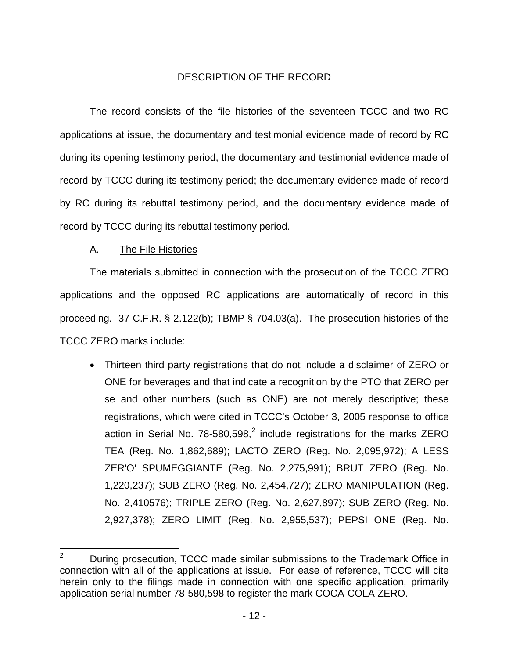# DESCRIPTION OF THE RECORD

The record consists of the file histories of the seventeen TCCC and two RC applications at issue, the documentary and testimonial evidence made of record by RC during its opening testimony period, the documentary and testimonial evidence made of record by TCCC during its testimony period; the documentary evidence made of record by RC during its rebuttal testimony period, and the documentary evidence made of record by TCCC during its rebuttal testimony period.

# A. The File Histories

The materials submitted in connection with the prosecution of the TCCC ZERO applications and the opposed RC applications are automatically of record in this proceeding. 37 C.F.R. § 2.122(b); TBMP § 704.03(a). The prosecution histories of the TCCC ZERO marks include:

• Thirteen third party registrations that do not include a disclaimer of ZERO or ONE for beverages and that indicate a recognition by the PTO that ZERO per se and other numbers (such as ONE) are not merely descriptive; these registrations, which were cited in TCCC's October 3, 2005 response to office action in Serial No. 78-580,598, $^2$  $^2$  include registrations for the marks ZERO TEA (Reg. No. 1,862,689); LACTO ZERO (Reg. No. 2,095,972); A LESS ZER'O' SPUMEGGIANTE (Reg. No. 2,275,991); BRUT ZERO (Reg. No. 1,220,237); SUB ZERO (Reg. No. 2,454,727); ZERO MANIPULATION (Reg. No. 2,410576); TRIPLE ZERO (Reg. No. 2,627,897); SUB ZERO (Reg. No. 2,927,378); ZERO LIMIT (Reg. No. 2,955,537); PEPSI ONE (Reg. No.

<span id="page-13-1"></span><span id="page-13-0"></span><sup>2</sup> During prosecution, TCCC made similar submissions to the Trademark Office in connection with all of the applications at issue. For ease of reference, TCCC will cite herein only to the filings made in connection with one specific application, primarily application serial number 78-580,598 to register the mark COCA-COLA ZERO.  $\overline{2}$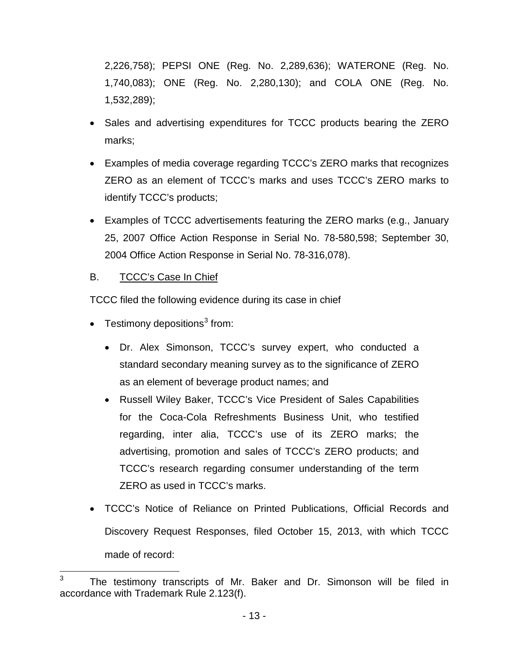2,226,758); PEPSI ONE (Reg. No. 2,289,636); WATERONE (Reg. No. 1,740,083); ONE (Reg. No. 2,280,130); and COLA ONE (Reg. No. 1,532,289);

- Sales and advertising expenditures for TCCC products bearing the ZERO marks;
- Examples of media coverage regarding TCCC's ZERO marks that recognizes ZERO as an element of TCCC's marks and uses TCCC's ZERO marks to identify TCCC's products;
- Examples of TCCC advertisements featuring the ZERO marks (e.g., January 25, 2007 Office Action Response in Serial No. 78-580,598; September 30, 2004 Office Action Response in Serial No. 78-316,078).

# B. TCCC's Case In Chief

TCCC filed the following evidence during its case in chief

- Testimony depositions<sup>[3](#page-13-1)</sup> from:
	- Dr. Alex Simonson, TCCC's survey expert, who conducted a standard secondary meaning survey as to the significance of ZERO as an element of beverage product names; and
	- Russell Wiley Baker, TCCC's Vice President of Sales Capabilities for the Coca-Cola Refreshments Business Unit, who testified regarding, inter alia, TCCC's use of its ZERO marks; the advertising, promotion and sales of TCCC's ZERO products; and TCCC's research regarding consumer understanding of the term ZERO as used in TCCC's marks.
- TCCC's Notice of Reliance on Printed Publications, Official Records and Discovery Request Responses, filed October 15, 2013, with which TCCC made of record:

 $\frac{1}{3}$ The testimony transcripts of Mr. Baker and Dr. Simonson will be filed in accordance with Trademark Rule 2.123(f).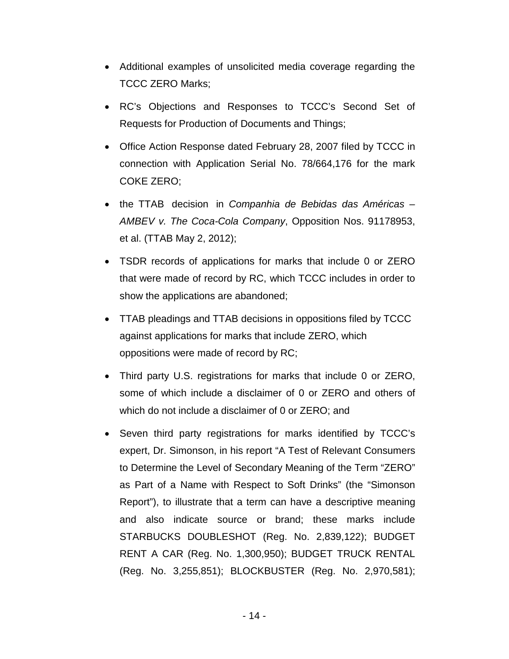- Additional examples of unsolicited media coverage regarding the TCCC ZERO Marks;
- RC's Objections and Responses to TCCC's Second Set of Requests for Production of Documents and Things;
- Office Action Response dated February 28, 2007 filed by TCCC in connection with Application Serial No. 78/664,176 for the mark COKE ZERO;
- the TTAB decision in Companhia de Bebidas das Américas AMBEV v. The Coca-Cola Company, Opposition Nos. 91178953, et al. (TTAB May 2, 2012);
- TSDR records of applications for marks that include 0 or ZERO that were made of record by RC, which TCCC includes in order to show the applications are abandoned;
- TTAB pleadings and TTAB decisions in oppositions filed by TCCC against applications for marks that include ZERO, which oppositions were made of record by RC;
- Third party U.S. registrations for marks that include 0 or ZERO, some of which include a disclaimer of 0 or ZERO and others of which do not include a disclaimer of 0 or ZERO; and
- Seven third party registrations for marks identified by TCCC's expert, Dr. Simonson, in his report "A Test of Relevant Consumers to Determine the Level of Secondary Meaning of the Term "ZERO" as Part of a Name with Respect to Soft Drinks" (the "Simonson Report"), to illustrate that a term can have a descriptive meaning and also indicate source or brand; these marks include STARBUCKS DOUBLESHOT (Reg. No. 2,839,122); BUDGET RENT A CAR (Reg. No. 1,300,950); BUDGET TRUCK RENTAL (Reg. No. 3,255,851); BLOCKBUSTER (Reg. No. 2,970,581);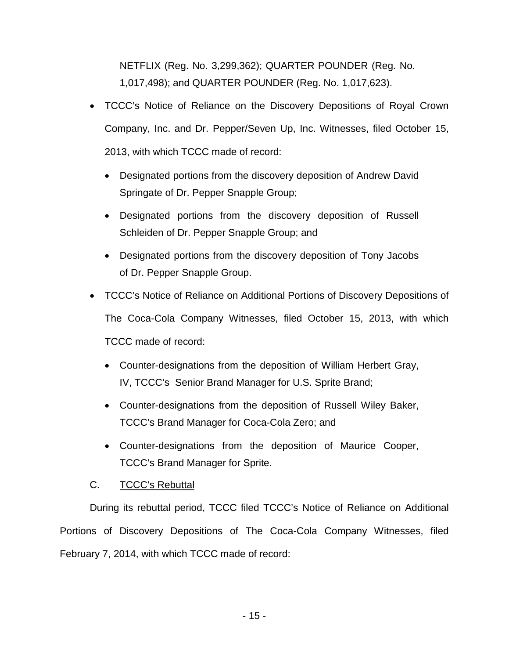NETFLIX (Reg. No. 3,299,362); QUARTER POUNDER (Reg. No. 1,017,498); and QUARTER POUNDER (Reg. No. 1,017,623).

- TCCC's Notice of Reliance on the Discovery Depositions of Royal Crown Company, Inc. and Dr. Pepper/Seven Up, Inc. Witnesses, filed October 15, 2013, with which TCCC made of record:
	- Designated portions from the discovery deposition of Andrew David Springate of Dr. Pepper Snapple Group;
	- Designated portions from the discovery deposition of Russell Schleiden of Dr. Pepper Snapple Group; and
	- Designated portions from the discovery deposition of Tony Jacobs of Dr. Pepper Snapple Group.
- TCCC's Notice of Reliance on Additional Portions of Discovery Depositions of The Coca-Cola Company Witnesses, filed October 15, 2013, with which TCCC made of record:
	- Counter-designations from the deposition of William Herbert Gray, IV, TCCC's Senior Brand Manager for U.S. Sprite Brand;
	- Counter-designations from the deposition of Russell Wiley Baker, TCCC's Brand Manager for Coca-Cola Zero; and
	- Counter-designations from the deposition of Maurice Cooper, TCCC's Brand Manager for Sprite.

# C. TCCC's Rebuttal

During its rebuttal period, TCCC filed TCCC's Notice of Reliance on Additional Portions of Discovery Depositions of The Coca-Cola Company Witnesses, filed February 7, 2014, with which TCCC made of record: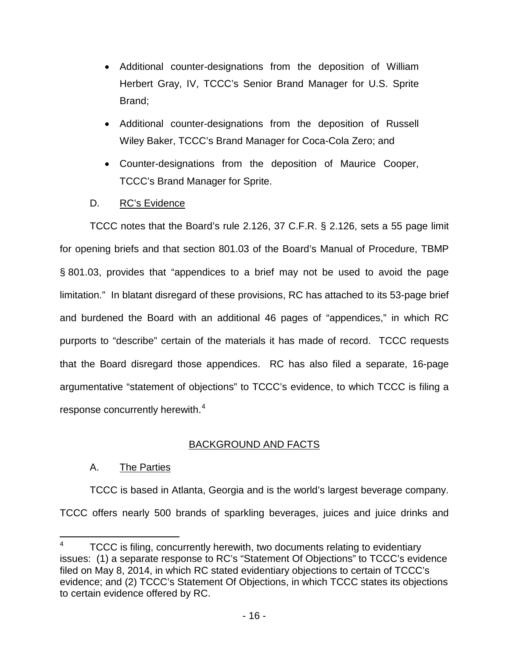- Additional counter-designations from the deposition of William Herbert Gray, IV, TCCC's Senior Brand Manager for U.S. Sprite Brand;
- Additional counter-designations from the deposition of Russell Wiley Baker, TCCC's Brand Manager for Coca-Cola Zero; and
- Counter-designations from the deposition of Maurice Cooper, TCCC's Brand Manager for Sprite.
- D. RC's Evidence

TCCC notes that the Board's rule 2.126, 37 C.F.R. § 2.126, sets a 55 page limit for opening briefs and that section 801.03 of the Board's Manual of Procedure, TBMP § 801.03, provides that "appendices to a brief may not be used to avoid the page limitation." In blatant disregard of these provisions, RC has attached to its 53-page brief and burdened the Board with an additional 46 pages of "appendices," in which RC purports to "describe" certain of the materials it has made of record. TCCC requests that the Board disregard those appendices. RC has also filed a separate, 16-page argumentative "statement of objections" to TCCC's evidence, to which TCCC is filing a response concurrently herewith. $4$ 

# BACKGROUND AND FACTS

# A. The Parties

TCCC is based in Atlanta, Georgia and is the world's largest beverage company. TCCC offers nearly 500 brands of sparkling beverages, juices and juice drinks and

<span id="page-17-0"></span><sup>4</sup> TCCC is filing, concurrently herewith, two documents relating to evidentiary issues: (1) a separate response to RC's "Statement Of Objections" to TCCC's evidence filed on May 8, 2014, in which RC stated evidentiary objections to certain of TCCC's evidence; and (2) TCCC's Statement Of Objections, in which TCCC states its objections to certain evidence offered by RC. -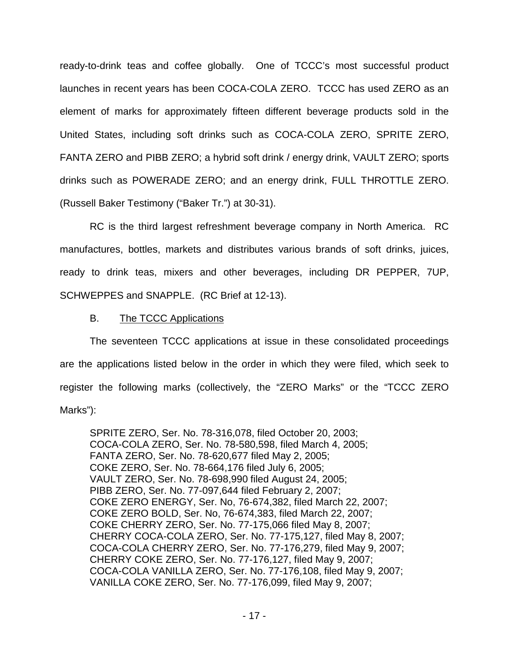ready-to-drink teas and coffee globally. One of TCCC's most successful product launches in recent years has been COCA-COLA ZERO. TCCC has used ZERO as an element of marks for approximately fifteen different beverage products sold in the United States, including soft drinks such as COCA-COLA ZERO, SPRITE ZERO, FANTA ZERO and PIBB ZERO; a hybrid soft drink / energy drink, VAULT ZERO; sports drinks such as POWERADE ZERO; and an energy drink, FULL THROTTLE ZERO. (Russell Baker Testimony ("Baker Tr.") at 30-31).

RC is the third largest refreshment beverage company in North America. RC manufactures, bottles, markets and distributes various brands of soft drinks, juices, ready to drink teas, mixers and other beverages, including DR PEPPER, 7UP, SCHWEPPES and SNAPPLE. (RC Brief at 12-13).

## B. The TCCC Applications

The seventeen TCCC applications at issue in these consolidated proceedings are the applications listed below in the order in which they were filed, which seek to register the following marks (collectively, the "ZERO Marks" or the "TCCC ZERO Marks"):

SPRITE ZERO, Ser. No. 78-316,078, filed October 20, 2003; COCA-COLA ZERO, Ser. No. 78-580,598, filed March 4, 2005; FANTA ZERO, Ser. No. 78-620,677 filed May 2, 2005; COKE ZERO, Ser. No. 78-664,176 filed July 6, 2005; VAULT ZERO, Ser. No. 78-698,990 filed August 24, 2005; PIBB ZERO, Ser. No. 77-097,644 filed February 2, 2007; COKE ZERO ENERGY, Ser. No, 76-674,382, filed March 22, 2007; COKE ZERO BOLD, Ser. No, 76-674,383, filed March 22, 2007; COKE CHERRY ZERO, Ser. No. 77-175,066 filed May 8, 2007; CHERRY COCA-COLA ZERO, Ser. No. 77-175,127, filed May 8, 2007; COCA-COLA CHERRY ZERO, Ser. No. 77-176,279, filed May 9, 2007; CHERRY COKE ZERO, Ser. No. 77-176,127, filed May 9, 2007; COCA-COLA VANILLA ZERO, Ser. No. 77-176,108, filed May 9, 2007; VANILLA COKE ZERO, Ser. No. 77-176,099, filed May 9, 2007;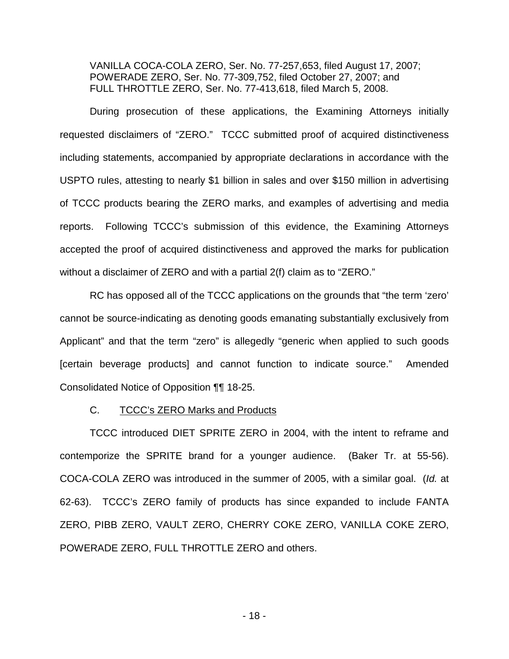VANILLA COCA-COLA ZERO, Ser. No. 77-257,653, filed August 17, 2007; POWERADE ZERO, Ser. No. 77-309,752, filed October 27, 2007; and FULL THROTTLE ZERO, Ser. No. 77-413,618, filed March 5, 2008.

During prosecution of these applications, the Examining Attorneys initially requested disclaimers of "ZERO." TCCC submitted proof of acquired distinctiveness including statements, accompanied by appropriate declarations in accordance with the USPTO rules, attesting to nearly \$1 billion in sales and over \$150 million in advertising of TCCC products bearing the ZERO marks, and examples of advertising and media reports. Following TCCC's submission of this evidence, the Examining Attorneys accepted the proof of acquired distinctiveness and approved the marks for publication without a disclaimer of ZERO and with a partial 2(f) claim as to "ZERO."

RC has opposed all of the TCCC applications on the grounds that "the term 'zero' cannot be source-indicating as denoting goods emanating substantially exclusively from Applicant" and that the term "zero" is allegedly "generic when applied to such goods [certain beverage products] and cannot function to indicate source." Amended Consolidated Notice of Opposition ¶¶ 18-25[.](#page-19-0) 

### C. TCCC's ZERO Marks and Products

<span id="page-19-0"></span>TCCC introduced DIET SPRITE ZERO in 2004, with the intent to reframe and contemporize the SPRITE brand for a younger audience. (Baker Tr. at 55-56). COCA-COLA ZERO was introduced in the summer of 2005, with a similar goal. (Id. at 62-63). TCCC's ZERO family of products has since expanded to include FANTA ZERO, PIBB ZERO, VAULT ZERO, CHERRY COKE ZERO, VANILLA COKE ZERO, POWERADE ZERO, FULL THROTTLE ZERO and others.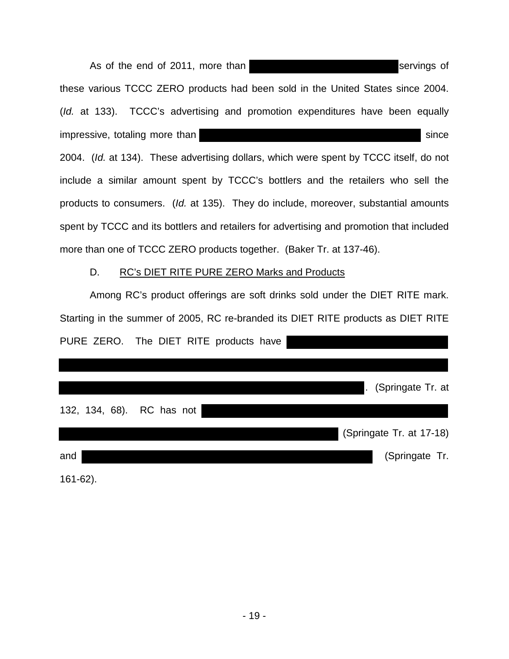As of the end of 2011, more than servings of servings of these various TCCC ZERO products had been sold in the United States since 2004. (Id. at 133). TCCC's advertising and promotion expenditures have been equally impressive, totaling more than since since since since since since since since since since since since since since since  $s = s + s + s$ 2004. (Id. at 134). These advertising dollars, which were spent by TCCC itself, do not include a similar amount spent by TCCC's bottlers and the retailers who sell the products to consumers. (Id. at 135). They do include, moreover, substantial amounts spent by TCCC and its bottlers and retailers for advertising and promotion that included more than one of TCCC ZERO products together. (Baker Tr. at 137-46).

## D. RC's DIET RITE PURE ZERO Marks and Products

Among RC's product offerings are soft drinks sold under the DIET RITE mark. Starting in the summer of 2005, RC re-branded its DIET RITE products as DIET RITE PURE ZERO. The DIET RITE products have

|     |  |                           | . (Springate Tr. at      |
|-----|--|---------------------------|--------------------------|
|     |  | 132, 134, 68). RC has not |                          |
|     |  |                           | (Springate Tr. at 17-18) |
| and |  |                           | (Springate Tr.           |

161-62).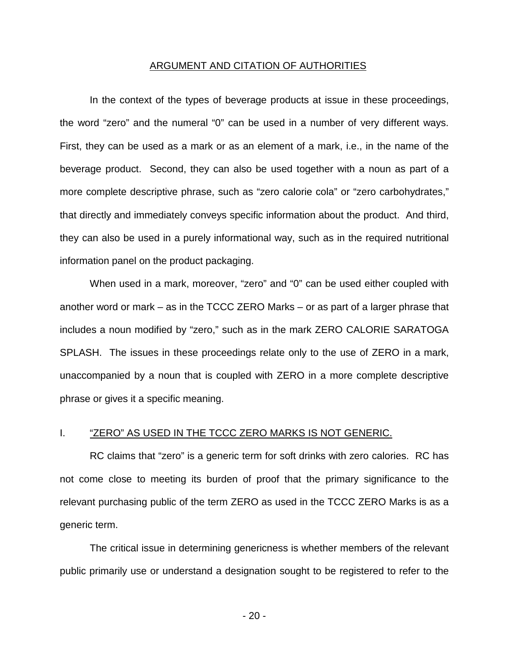#### ARGUMENT AND CITATION OF AUTHORITIES

In the context of the types of beverage products at issue in these proceedings, the word "zero" and the numeral "0" can be used in a number of very different ways. First, they can be used as a mark or as an element of a mark, i.e., in the name of the beverage product. Second, they can also be used together with a noun as part of a more complete descriptive phrase, such as "zero calorie cola" or "zero carbohydrates," that directly and immediately conveys specific information about the product. And third, they can also be used in a purely informational way, such as in the required nutritional information panel on the product packaging.

When used in a mark, moreover, "zero" and "0" can be used either coupled with another word or mark – as in the TCCC ZERO Marks – or as part of a larger phrase that includes a noun modified by "zero," such as in the mark ZERO CALORIE SARATOGA SPLASH. The issues in these proceedings relate only to the use of ZERO in a mark, unaccompanied by a noun that is coupled with ZERO in a more complete descriptive phrase or gives it a specific meaning.

#### I. "ZERO" AS USED IN THE TCCC ZERO MARKS IS NOT GENERIC.

RC claims that "zero" is a generic term for soft drinks with zero calories. RC has not come close to meeting its burden of proof that the primary significance to the relevant purchasing public of the term ZERO as used in the TCCC ZERO Marks is as a generic term.

The critical issue in determining genericness is whether members of the relevant public primarily use or understand a designation sought to be registered to refer to the

- 20 -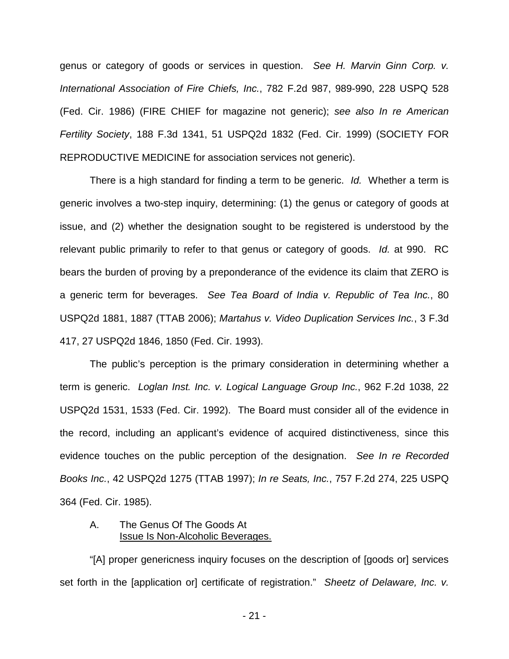genus or category of goods or services in question. See H. Marvin Ginn Corp. v. International Association of Fire Chiefs, Inc., 782 F.2d 987, 989-990, 228 USPQ 528 (Fed. Cir. 1986) (FIRE CHIEF for magazine not generic); see also In re American Fertility Society, 188 F.3d 1341, 51 USPQ2d 1832 (Fed. Cir. 1999) (SOCIETY FOR REPRODUCTIVE MEDICINE for association services not generic).

There is a high standard for finding a term to be generic. Id. Whether a term is generic involves a two-step inquiry, determining: (1) the genus or category of goods at issue, and (2) whether the designation sought to be registered is understood by the relevant public primarily to refer to that genus or category of goods. Id. at 990. RC bears the burden of proving by a preponderance of the evidence its claim that ZERO is a generic term for beverages. See Tea Board of India v. Republic of Tea Inc., 80 USPQ2d 1881, 1887 (TTAB 2006); Martahus v. Video Duplication Services Inc., 3 F.3d 417, 27 USPQ2d 1846, 1850 (Fed. Cir. 1993).

The public's perception is the primary consideration in determining whether a term is generic. Loglan Inst. Inc. v. Logical Language Group Inc., 962 F.2d 1038, 22 USPQ2d 1531, 1533 (Fed. Cir. 1992). The Board must consider all of the evidence in the record, including an applicant's evidence of acquired distinctiveness, since this evidence touches on the public perception of the designation. See In re Recorded Books Inc., 42 USPQ2d 1275 (TTAB 1997); In re Seats, Inc., 757 F.2d 274, 225 USPQ 364 (Fed. Cir. 1985).

## A. The Genus Of The Goods At Issue Is Non-Alcoholic Beverages.

"[A] proper genericness inquiry focuses on the description of [goods or] services set forth in the [application or] certificate of registration." Sheetz of Delaware, Inc. v.

- 21 -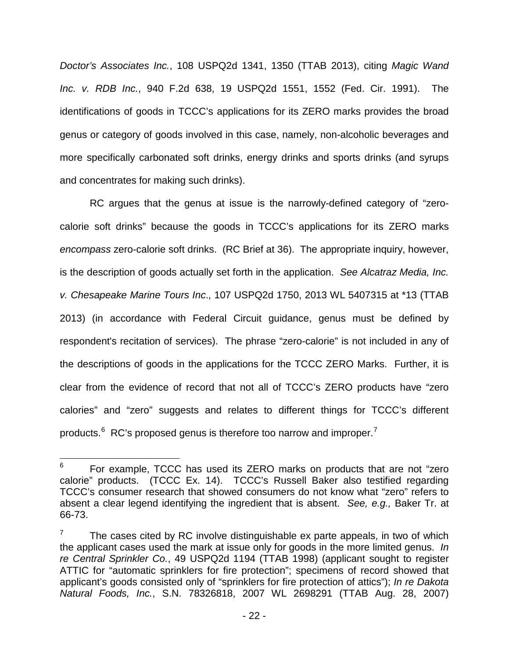Doctor's Associates Inc., 108 USPQ2d 1341, 1350 (TTAB 2013), citing Magic Wand Inc. v. RDB Inc., 940 F.2d 638, 19 USPQ2d 1551, 1552 (Fed. Cir. 1991). The identifications of goods in TCCC's applications for its ZERO marks provides the broad genus or category of goods involved in this case, namely, non-alcoholic beverages and more specifically carbonated soft drinks, energy drinks and sports drinks (and syrups and concentrates for making such drinks).

RC argues that the genus at issue is the narrowly-defined category of "zerocalorie soft drinks" because the goods in TCCC's applications for its ZERO marks encompass zero-calorie soft drinks. (RC Brief at 36). The appropriate inquiry, however, is the description of goods actually set forth in the application. See Alcatraz Media, Inc. v. Chesapeake Marine Tours Inc., 107 USPQ2d 1750, 2013 WL 5407315 at \*13 (TTAB 2013) (in accordance with Federal Circuit guidance, genus must be defined by respondent's recitation of services). The phrase "zero-calorie" is not included in any of the descriptions of goods in the applications for the TCCC ZERO Marks. Further, it is clear from the evidence of record that not all of TCCC's ZERO products have "zero calories" and "zero" suggests and relates to different things for TCCC's different products. $6 \text{ RC's proposed genus}$  $6 \text{ RC's proposed genus}$  is therefore too narrow and improper.<sup>[7](#page-23-1)</sup>

 $\frac{1}{6}$  For example, TCCC has used its ZERO marks on products that are not "zero calorie" products. (TCCC Ex. 14). TCCC's Russell Baker also testified regarding TCCC's consumer research that showed consumers do not know what "zero" refers to absent a clear legend identifying the ingredient that is absent. See, e.g., Baker Tr. at 66-73.

<span id="page-23-1"></span><span id="page-23-0"></span><sup>7</sup> The cases cited by RC involve distinguishable ex parte appeals, in two of which the applicant cases used the mark at issue only for goods in the more limited genus. In re Central Sprinkler Co., 49 USPQ2d 1194 (TTAB 1998) (applicant sought to register ATTIC for "automatic sprinklers for fire protection"; specimens of record showed that applicant's goods consisted only of "sprinklers for fire protection of attics"); In re Dakota Natural Foods, Inc., S.N. 78326818, 2007 WL 2698291 (TTAB Aug. 28, 2007)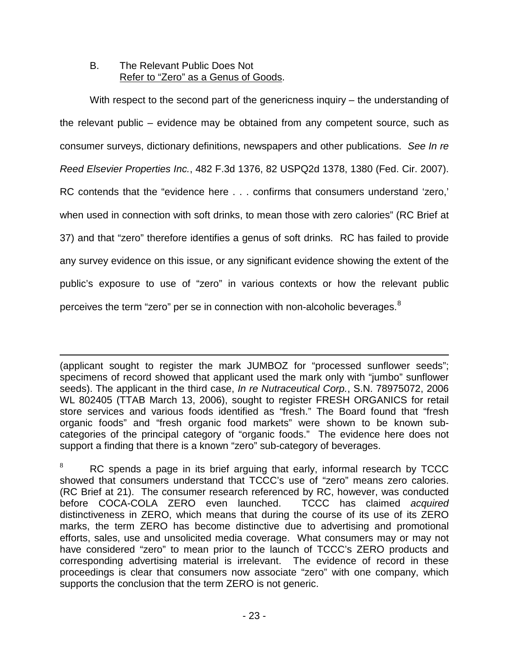## B. The Relevant Public Does Not Refer to "Zero" as a Genus of Goods.

With respect to the second part of the genericness inquiry – the understanding of the relevant public – evidence may be obtained from any competent source, such as consumer surveys, dictionary definitions, newspapers and other publications. See In re Reed Elsevier Properties Inc., 482 F.3d 1376, 82 USPQ2d 1378, 1380 (Fed. Cir. 2007). RC contends that the "evidence here . . . confirms that consumers understand 'zero,' when used in connection with soft drinks, to mean those with zero calories" (RC Brief at 37) and that "zero" therefore identifies a genus of soft drinks. RC has failed to provide any survey evidence on this issue, or any significant evidence showing the extent of the public's exposure to use of "zero" in various contexts or how the relevant public perceives the term "zero" per se in connection with non-alcoholic beverages. $^8$  $^8$ 

(applicant sought to register the mark JUMBOZ for "processed sunflower seeds"; specimens of record showed that applicant used the mark only with "jumbo" sunflower seeds). The applicant in the third case, In re Nutraceutical Corp., S.N. 78975072, 2006 WL 802405 (TTAB March 13, 2006), sought to register FRESH ORGANICS for retail store services and various foods identified as "fresh." The Board found that "fresh organic foods" and "fresh organic food markets" were shown to be known subcategories of the principal category of "organic foods." The evidence here does not support a finding that there is a known "zero" sub-category of beverages.  $\overline{a}$ 

RC spends a page in its brief arguing that early, informal research by TCCC showed that consumers understand that TCCC's use of "zero" means zero calories. (RC Brief at 21). The consumer research referenced by RC, however, was conducted before COCA-COLA ZERO even launched. TCCC has claimed acquired distinctiveness in ZERO, which means that during the course of its use of its ZERO marks, the term ZERO has become distinctive due to advertising and promotional efforts, sales, use and unsolicited media coverage. What consumers may or may not have considered "zero" to mean prior to the launch of TCCC's ZERO products and corresponding advertising material is irrelevant. The evidence of record in these proceedings is clear that consumers now associate "zero" with one company, which supports the conclusion that the term ZERO is not generic.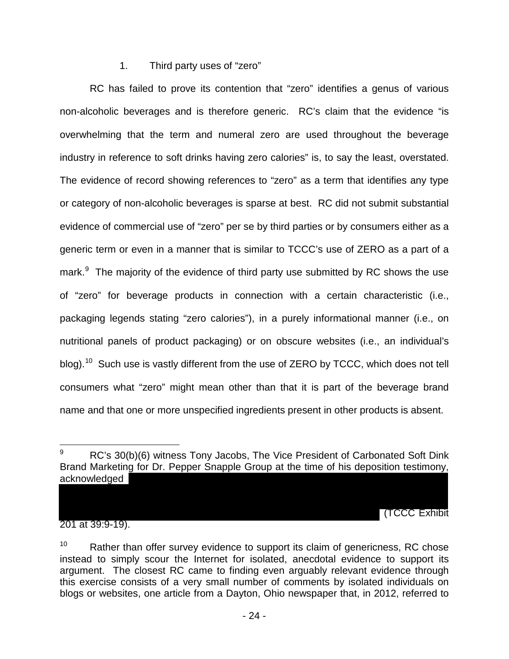# 1. Third party uses of "zero"

RC has failed to prove its contention that "zero" identifies a genus of various non-alcoholic beverages and is therefore generic. RC's claim that the evidence "is overwhelming that the term and numeral zero are used throughout the beverage industry in reference to soft drinks having zero calories" is, to say the least, overstated. The evidence of record showing references to "zero" as a term that identifies any type or category of non-alcoholic beverages is sparse at best. RC did not submit substantial evidence of commercial use of "zero" per se by third parties or by consumers either as a generic term or even in a manner that is similar to TCCC's use of ZERO as a part of a mark. $9$  The majority of the evidence of third party use submitted by RC shows the use of "zero" for beverage products in connection with a certain characteristic (i.e., packaging legends stating "zero calories"), in a purely informational manner (i.e., on nutritional panels of product packaging) or on obscure websites (i.e., an individual's blog).<sup>[10](#page-26-1)</sup> Such use is vastly different from the use of ZERO by TCCC, which does not tell consumers what "zero" might mean other than that it is part of the beverage brand name and that one or more unspecified ingredients present in other products is absent.

(TCCC Exhibit

201 at 39:9-19).

 $\overline{a}$ 

<span id="page-25-0"></span>RC's 30(b)(6) witness Tony Jacobs, The Vice President of Carbonated Soft Dink Brand Marketing for Dr. Pepper Snapple Group at the time of his deposition testimony, acknowledged

 $10$  Rather than offer survey evidence to support its claim of genericness, RC chose instead to simply scour the Internet for isolated, anecdotal evidence to support its argument. The closest RC came to finding even arguably relevant evidence through this exercise consists of a very small number of comments by isolated individuals on blogs or websites, one article from a Dayton, Ohio newspaper that, in 2012, referred to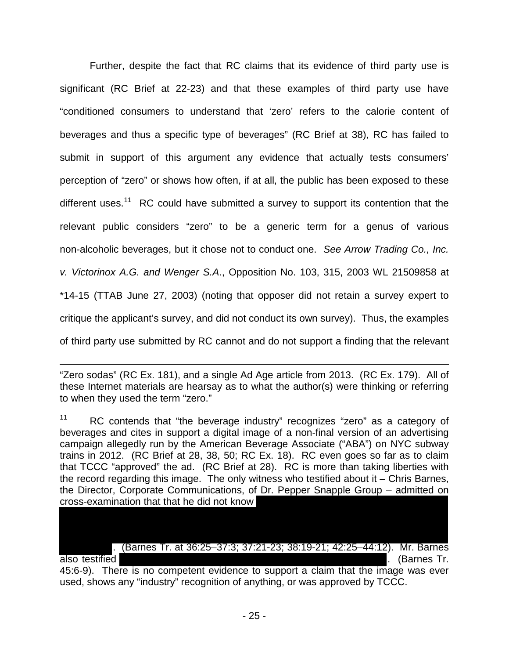Further, despite the fact that RC claims that its evidence of third party use is significant (RC Brief at 22-23) and that these examples of third party use have "conditioned consumers to understand that 'zero' refers to the calorie content of beverages and thus a specific type of beverages" (RC Brief at 38), RC has failed to submit in support of this argument any evidence that actually tests consumers' perception of "zero" or shows how often, if at all, the public has been exposed to these different uses.<sup>[11](#page-27-0)</sup> RC could have submitted a survey to support its contention that the relevant public considers "zero" to be a generic term for a genus of various non-alcoholic beverages, but it chose not to conduct one. See Arrow Trading Co., Inc. v. Victorinox A.G. and Wenger S.A., Opposition No. 103, 315, 2003 WL 21509858 at \*14-15 (TTAB June 27, 2003) (noting that opposer did not retain a survey expert to critique the applicant's survey, and did not conduct its own survey). Thus, the examples of third party use submitted by RC cannot and do not support a finding that the relevant

<span id="page-26-1"></span><sup>11</sup> RC contends that "the beverage industry" recognizes "zero" as a category of beverages and cites in support a digital image of a non-final version of an advertising campaign allegedly run by the American Beverage Associate ("ABA") on NYC subway trains in 2012. (RC Brief at 28, 38, 50; RC Ex. 18). RC even goes so far as to claim that TCCC "approved" the ad. (RC Brief at 28). RC is more than taking liberties with the record regarding this image. The only witness who testified about it – Chris Barnes, the Director, Corporate Communications, of Dr. Pepper Snapple Group – admitted on cross-examination that that he did not know

. (Barnes Tr. at 36:25–37:3; 37:21-23; 38:19-21; 42:25–44:12). Mr. Barnes also testified . (Barnes Tr. 45:6-9). There is no competent evidence to support a claim that the image was ever used, shows any "industry" recognition of anything, or was approved by TCCC.

<span id="page-26-0"></span><sup>&</sup>quot;Zero sodas" (RC Ex. 181), and a single Ad Age article from 2013. (RC Ex. 179). All of these Internet materials are hearsay as to what the author(s) were thinking or referring to when they used the term "zero."  $\overline{a}$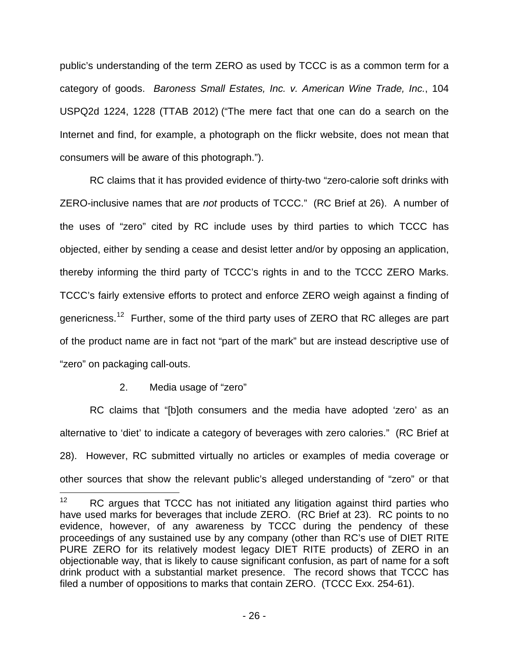public's understanding of the term ZERO as used by TCCC is as a common term for a category of goods. Baroness Small Estates, Inc. v. American Wine Trade, Inc., 104 USPQ2d 1224, 1228 (TTAB 2012) ("The mere fact that one can do a search on the Internet and find, for example, a photograph on the flickr website, does not mean that consumers will be aware of this photograph.").

RC claims that it has provided evidence of thirty-two "zero-calorie soft drinks with ZERO-inclusive names that are not products of TCCC." (RC Brief at 26). A number of the uses of "zero" cited by RC include uses by third parties to which TCCC has objected, either by sending a cease and desist letter and/or by opposing an application, thereby informing the third party of TCCC's rights in and to the TCCC ZERO Marks. TCCC's fairly extensive efforts to protect and enforce ZERO weigh against a finding of genericness.<sup>[12](#page-28-0)</sup> Further, some of the third party uses of ZERO that RC alleges are part of the product name are in fact not "part of the mark" but are instead descriptive use of "zero" on packaging call-outs.

## 2. Media usage of "zero"

<span id="page-27-0"></span>RC claims that "[b]oth consumers and the media have adopted 'zero' as an alternative to 'diet' to indicate a category of beverages with zero calories." (RC Brief at 28). However, RC submitted virtually no articles or examples of media coverage or other sources that show the relevant public's alleged understanding of "zero" or that

 $\frac{1}{12}$  RC argues that TCCC has not initiated any litigation against third parties who have used marks for beverages that include ZERO. (RC Brief at 23). RC points to no evidence, however, of any awareness by TCCC during the pendency of these proceedings of any sustained use by any company (other than RC's use of DIET RITE PURE ZERO for its relatively modest legacy DIET RITE products) of ZERO in an objectionable way, that is likely to cause significant confusion, as part of name for a soft drink product with a substantial market presence. The record shows that TCCC has filed a number of oppositions to marks that contain ZERO. (TCCC Exx. 254-61).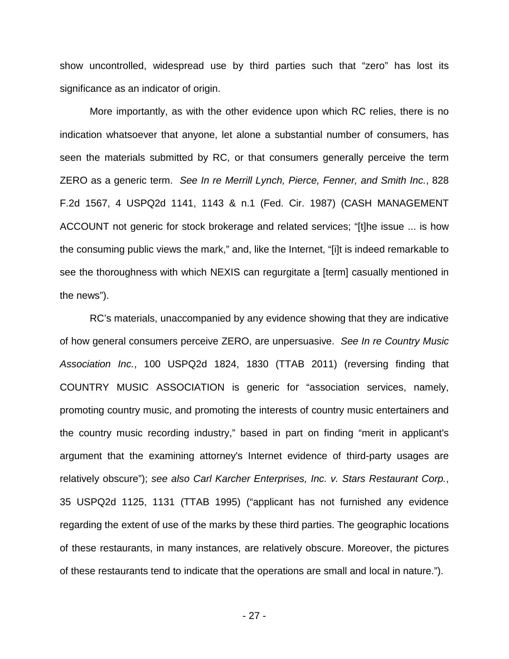show uncontrolled, widespread use by third parties such that "zero" has lost its significance as an indicator of origin.

More importantly, as with the other evidence upon which RC relies, there is no indication whatsoever that anyone, let alone a substantial number of consumers, has seen the materials submitted by RC, or that consumers generally perceive the term ZERO as a generic term. See In re Merrill Lynch, Pierce, Fenner, and Smith Inc., 828 F.2d 1567, 4 USPQ2d 1141, 1143 & n.1 (Fed. Cir. 1987) (CASH MANAGEMENT ACCOUNT not generic for stock brokerage and related services; "[t]he issue ... is how the consuming public views the mark," and, like the Internet, "[i]t is indeed remarkable to see the thoroughness with which NEXIS can regurgitate a [term] casually mentioned in the news").

<span id="page-28-0"></span>RC's materials, unaccompanied by any evidence showing that they are indicative of how general consumers perceive ZERO, are unpersuasive. See In re Country Music Association Inc., 100 USPQ2d 1824, 1830 (TTAB 2011) (reversing finding that COUNTRY MUSIC ASSOCIATION is generic for "association services, namely, promoting country music, and promoting the interests of country music entertainers and the country music recording industry," based in part on finding "merit in applicant's argument that the examining attorney's Internet evidence of third-party usages are relatively obscure"); see also Carl Karcher Enterprises, Inc. v. Stars Restaurant Corp., 35 USPQ2d 1125, 1131 (TTAB 1995) ("applicant has not furnished any evidence regarding the extent of use of the marks by these third parties. The geographic locations of these restaurants, in many instances, are relatively obscure. Moreover, the pictures of these restaurants tend to indicate that the operations are small and local in nature.").

- 27 -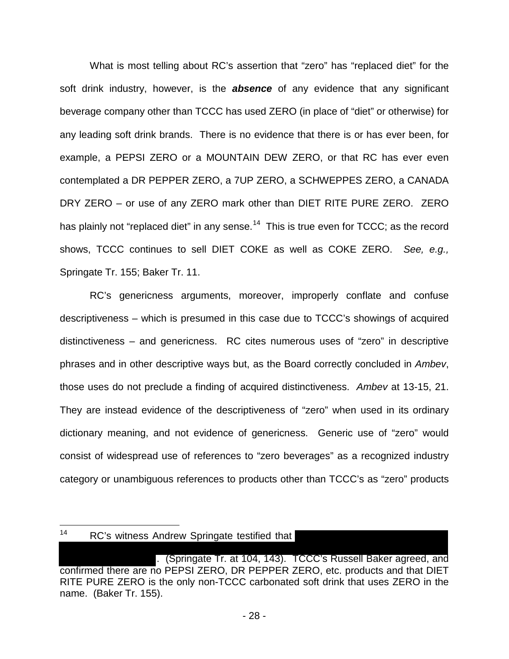What is most telling about RC's assertion that "zero" has "replaced diet" for the soft drink industry, however, is the **absence** of any evidence that any significant beverage company other than TCCC has used ZERO (in place of "diet" or otherwise) for any leading soft drink brands. There is no evidence that there is or has ever been, for example, a PEPSI ZERO or a MOUNTAIN DEW ZERO, or that RC has ever even contemplated a DR PEPPER ZERO, a 7UP ZERO, a SCHWEPPES ZERO, a CANADA DRY ZERO – or use of any ZERO mark other than DIET RITE PURE ZERO. ZERO has plainly not "replaced diet" in any sense.<sup>[14](#page-30-0)</sup> This is true even for TCCC; as the record shows, TCCC continues to sell DIET COKE as well as COKE ZERO. See, e.g., Springate Tr. 155; Baker Tr. 11.

RC's genericness arguments, moreover, improperly conflate and confuse descriptiveness – which is presumed in this case due to TCCC's showings of acquired distinctiveness – and genericness. RC cites numerous uses of "zero" in descriptive phrases and in other descriptive ways but, as the Board correctly concluded in Ambev, those uses do not preclude a finding of acquired distinctiveness. Ambev at 13-15, 21. They are instead evidence of the descriptiveness of "zero" when used in its ordinary dictionary meaning, and not evidence of genericness. Generic use of "zero" would consist of widespread use of references to "zero beverages" as a recognized industry category or unambiguous references to products other than TCCC's as "zero" products

 $\frac{1}{14}$ RC's witness Andrew Springate testified that

<sup>. (</sup>Springate Tr. at 104, 143). TCCC's Russell Baker agreed, and confirmed there are no PEPSI ZERO, DR PEPPER ZERO, etc. products and that DIET RITE PURE ZERO is the only non-TCCC carbonated soft drink that uses ZERO in the name. (Baker Tr. 155).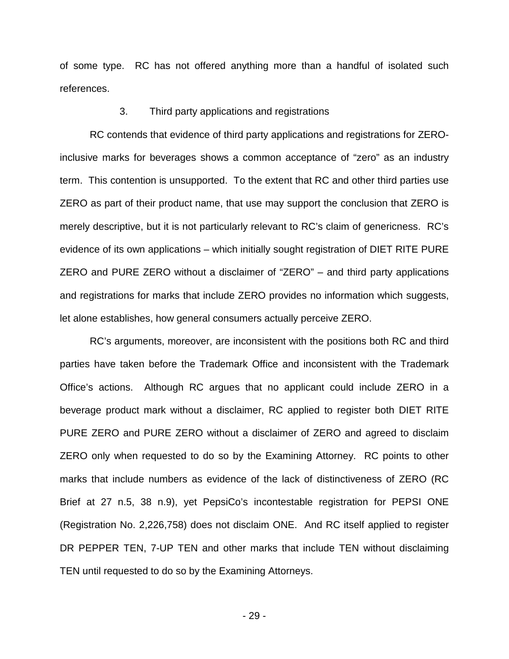of some type. RC has not offered anything more than a handful of isolated such references.

### 3. Third party applications and registrations

RC contends that evidence of third party applications and registrations for ZEROinclusive marks for beverages shows a common acceptance of "zero" as an industry term. This contention is unsupported. To the extent that RC and other third parties use ZERO as part of their product name, that use may support the conclusion that ZERO is merely descriptive, but it is not particularly relevant to RC's claim of genericness. RC's evidence of its own applications – which initially sought registration of DIET RITE PURE ZERO and PURE ZERO without a disclaimer of "ZERO" – and third party applications and registrations for marks that include ZERO provides no information which suggests, let alone establishes, how general consumers actually perceive ZERO.

<span id="page-30-0"></span>RC's arguments, moreover, are inconsistent with the positions both RC and third parties have taken before the Trademark Office and inconsistent with the Trademark Office's actions. Although RC argues that no applicant could include ZERO in a beverage product mark without a disclaimer, RC applied to register both DIET RITE PURE ZERO and PURE ZERO without a disclaimer of ZERO and agreed to disclaim ZERO only when requested to do so by the Examining Attorney. RC points to other marks that include numbers as evidence of the lack of distinctiveness of ZERO (RC Brief at 27 n.5, 38 n.9), yet PepsiCo's incontestable registration for PEPSI ONE (Registration No. 2,226,758) does not disclaim ONE. And RC itself applied to register DR PEPPER TEN, 7-UP TEN and other marks that include TEN without disclaiming TEN until requested to do so by the Examining Attorneys.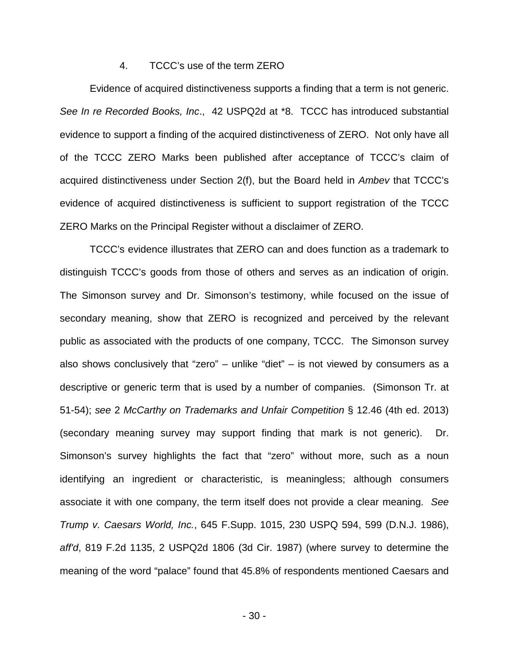### 4. TCCC's use of the term ZERO

Evidence of acquired distinctiveness supports a finding that a term is not generic. See In re Recorded Books, Inc., 42 USPQ2d at \*8. TCCC has introduced substantial evidence to support a finding of the acquired distinctiveness of ZERO. Not only have all of the TCCC ZERO Marks been published after acceptance of TCCC's claim of acquired distinctiveness under Section 2(f), but the Board held in Ambev that TCCC's evidence of acquired distinctiveness is sufficient to support registration of the TCCC ZERO Marks on the Principal Register without a disclaimer of ZERO.

TCCC's evidence illustrates that ZERO can and does function as a trademark to distinguish TCCC's goods from those of others and serves as an indication of origin. The Simonson survey and Dr. Simonson's testimony, while focused on the issue of secondary meaning, show that ZERO is recognized and perceived by the relevant public as associated with the products of one company, TCCC. The Simonson survey also shows conclusively that "zero" – unlike "diet" – is not viewed by consumers as a descriptive or generic term that is used by a number of companies. (Simonson Tr. at 51-54); see 2 McCarthy on Trademarks and Unfair Competition § 12.46 (4th ed. 2013) (secondary meaning survey may support finding that mark is not generic). Dr. Simonson's survey highlights the fact that "zero" without more, such as a noun identifying an ingredient or characteristic, is meaningless; although consumers associate it with one company, the term itself does not provide a clear meaning. See Trump v. Caesars World, Inc., 645 F.Supp. 1015, 230 USPQ 594, 599 (D.N.J. 1986), aff'd, [819 F.2d 1135, 2 USPQ2d 1806 \(3d Cir. 1987\)](http://web2.westlaw.com/find/default.wl?mt=193&db=0000350&tc=-1&rp=%2ffind%2fdefault.wl&findtype=Y&ordoc=2031444155&serialnum=1987071098&vr=2.0&fn=_top&sv=Split&tf=-1&pbc=D3F017F8&rs=WLW14.04) (where survey to determine the meaning of the word "palace" found that 45.8% of respondents mentioned Caesars and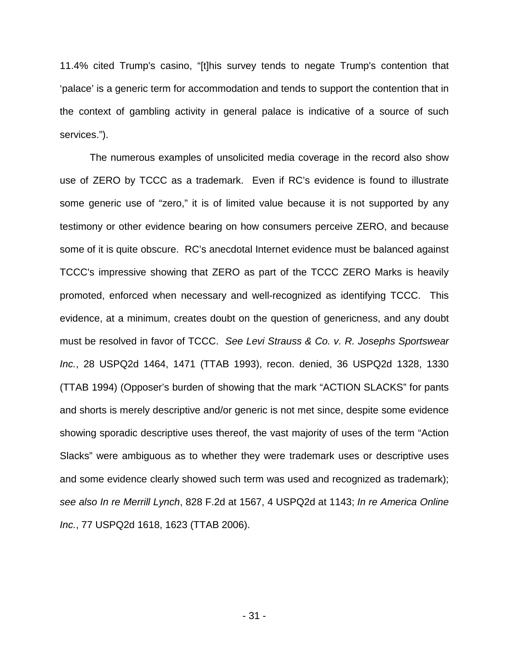11.4% cited Trump's casino, "[t]his survey tends to negate Trump's contention that 'palace' is a generic term for accommodation and tends to support the contention that in the context of gambling activity in general palace is indicative of a source of such services.").

The numerous examples of unsolicited media coverage in the record also show use of ZERO by TCCC as a trademark. Even if RC's evidence is found to illustrate some generic use of "zero," it is of limited value because it is not supported by any testimony or other evidence bearing on how consumers perceive ZERO, and because some of it is quite obscure. RC's anecdotal Internet evidence must be balanced against TCCC's impressive showing that ZERO as part of the TCCC ZERO Marks is heavily promoted, enforced when necessary and well-recognized as identifying TCCC. This evidence, at a minimum, creates doubt on the question of genericness, and any doubt must be resolved in favor of TCCC. See Levi Strauss & Co. v. R. Josephs Sportswear Inc., 28 USPQ2d 1464, 1471 (TTAB 1993), recon. denied, 36 USPQ2d 1328, 1330 (TTAB 1994) (Opposer's burden of showing that the mark "ACTION SLACKS" for pants and shorts is merely descriptive and/or generic is not met since, despite some evidence showing sporadic descriptive uses thereof, the vast majority of uses of the term "Action Slacks" were ambiguous as to whether they were trademark uses or descriptive uses and some evidence clearly showed such term was used and recognized as trademark); see also In re Merrill Lynch, 828 F.2d at 1567, 4 USPQ2d at 1143; In re America Online Inc., 77 USPQ2d 1618, 1623 (TTAB 2006).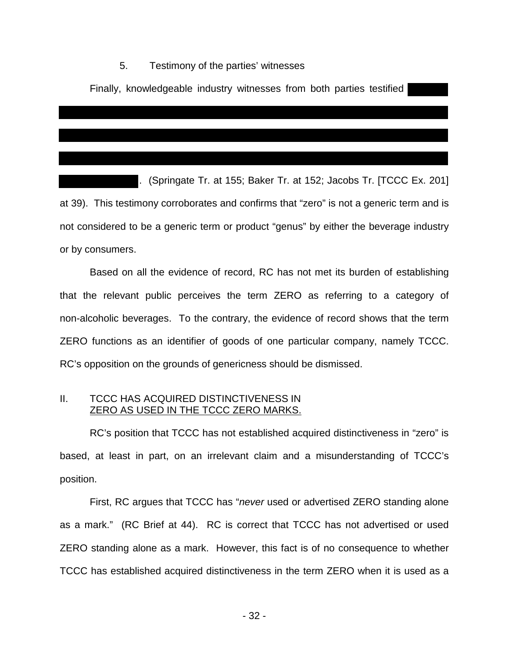### 5. Testimony of the parties' witnesses

Finally, knowledgeable industry witnesses from both parties testified

. (Springate Tr. at 155; Baker Tr. at 152; Jacobs Tr. [TCCC Ex. 201] at 39). This testimony corroborates and confirms that "zero" is not a generic term and is not considered to be a generic term or product "genus" by either the beverage industry or by consumers.

Based on all the evidence of record, RC has not met its burden of establishing that the relevant public perceives the term ZERO as referring to a category of non-alcoholic beverages. To the contrary, the evidence of record shows that the term ZERO functions as an identifier of goods of one particular company, namely TCCC. RC's opposition on the grounds of genericness should be dismissed.

## II. TCCC HAS ACQUIRED DISTINCTIVENESS IN ZERO AS USED IN THE TCCC ZERO MARKS.

RC's position that TCCC has not established acquired distinctiveness in "zero" is based, at least in part, on an irrelevant claim and a misunderstanding of TCCC's position.

First, RC argues that TCCC has "never used or advertised ZERO standing alone as a mark." (RC Brief at 44). RC is correct that TCCC has not advertised or used ZERO standing alone as a mark. However, this fact is of no consequence to whether TCCC has established acquired distinctiveness in the term ZERO when it is used as a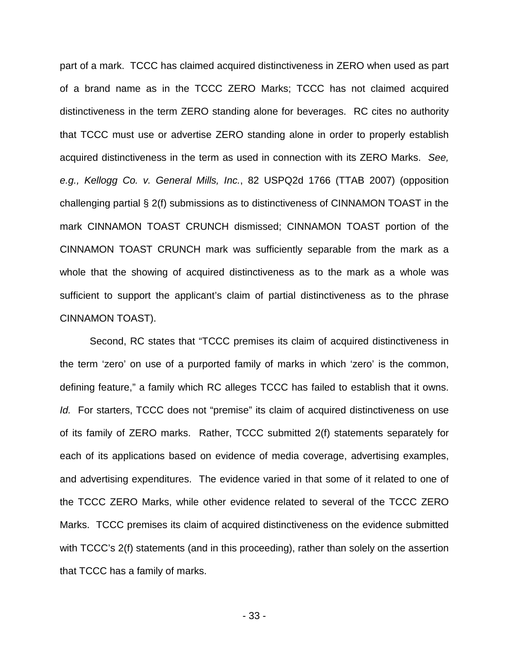part of a mark. TCCC has claimed acquired distinctiveness in ZERO when used as part of a brand name as in the TCCC ZERO Marks; TCCC has not claimed acquired distinctiveness in the term ZERO standing alone for beverages. RC cites no authority that TCCC must use or advertise ZERO standing alone in order to properly establish acquired distinctiveness in the term as used in connection with its ZERO Marks. See, e.g., Kellogg Co. v. General Mills, Inc., 82 USPQ2d 1766 (TTAB 2007) (opposition challenging partial § 2(f) submissions as to distinctiveness of CINNAMON TOAST in the mark CINNAMON TOAST CRUNCH dismissed; CINNAMON TOAST portion of the CINNAMON TOAST CRUNCH mark was sufficiently separable from the mark as a whole that the showing of acquired distinctiveness as to the mark as a whole was sufficient to support the applicant's claim of partial distinctiveness as to the phrase CINNAMON TOAST).

Second, RC states that "TCCC premises its claim of acquired distinctiveness in the term 'zero' on use of a purported family of marks in which 'zero' is the common, defining feature," a family which RC alleges TCCC has failed to establish that it owns. Id. For starters, TCCC does not "premise" its claim of acquired distinctiveness on use of its family of ZERO marks. Rather, TCCC submitted 2(f) statements separately for each of its applications based on evidence of media coverage, advertising examples, and advertising expenditures. The evidence varied in that some of it related to one of the TCCC ZERO Marks, while other evidence related to several of the TCCC ZERO Marks. TCCC premises its claim of acquired distinctiveness on the evidence submitted with TCCC's 2(f) statements (and in this proceeding), rather than solely on the assertion that TCCC has a family of marks.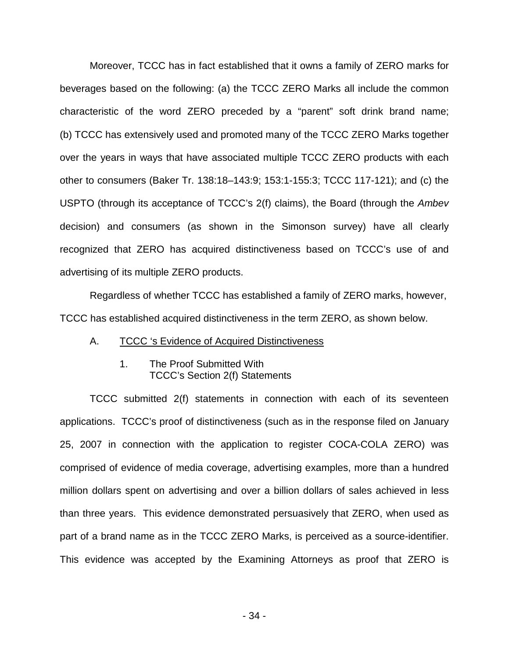Moreover, TCCC has in fact established that it owns a family of ZERO marks for beverages based on the following: (a) the TCCC ZERO Marks all include the common characteristic of the word ZERO preceded by a "parent" soft drink brand name; (b) TCCC has extensively used and promoted many of the TCCC ZERO Marks together over the years in ways that have associated multiple TCCC ZERO products with each other to consumers (Baker Tr. 138:18–143:9; 153:1-155:3; TCCC 117-121); and (c) the USPTO (through its acceptance of TCCC's 2(f) claims), the Board (through the Ambev decision) and consumers (as shown in the Simonson survey) have all clearly recognized that ZERO has acquired distinctiveness based on TCCC's use of and advertising of its multiple ZERO products.

Regardless of whether TCCC has established a family of ZERO marks, however, TCCC has established acquired distinctiveness in the term ZERO, as shown below.

- A. TCCC 's Evidence of Acquired Distinctiveness
	- 1. The Proof Submitted With TCCC's Section 2(f) Statements

TCCC submitted 2(f) statements in connection with each of its seventeen applications. TCCC's proof of distinctiveness (such as in the response filed on January 25, 2007 in connection with the application to register COCA-COLA ZERO) was comprised of evidence of media coverage, advertising examples, more than a hundred million dollars spent on advertising and over a billion dollars of sales achieved in less than three years. This evidence demonstrated persuasively that ZERO, when used as part of a brand name as in the TCCC ZERO Marks, is perceived as a source-identifier. This evidence was accepted by the Examining Attorneys as proof that ZERO is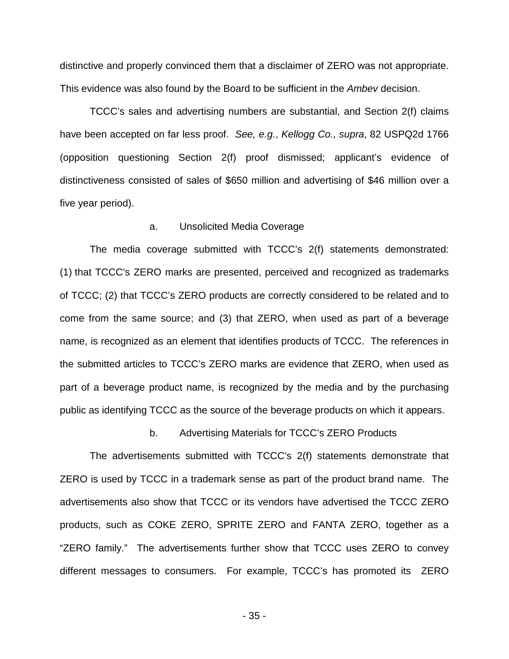distinctive and properly convinced them that a disclaimer of ZERO was not appropriate. This evidence was also found by the Board to be sufficient in the Ambey decision.

TCCC's sales and advertising numbers are substantial, and Section 2(f) claims have been accepted on far less proof. See, e.g., Kellogg Co., supra, 82 USPQ2d 1766 (opposition questioning Section 2(f) proof dismissed; applicant's evidence of distinctiveness consisted of sales of \$650 million and advertising of \$46 million over a five year period).

#### a. Unsolicited Media Coverage

The media coverage submitted with TCCC's 2(f) statements demonstrated: (1) that TCCC's ZERO marks are presented, perceived and recognized as trademarks of TCCC; (2) that TCCC's ZERO products are correctly considered to be related and to come from the same source; and (3) that ZERO, when used as part of a beverage name, is recognized as an element that identifies products of TCCC. The references in the submitted articles to TCCC's ZERO marks are evidence that ZERO, when used as part of a beverage product name, is recognized by the media and by the purchasing public as identifying TCCC as the source of the beverage products on which it appears.

b. Advertising Materials for TCCC's ZERO Products

The advertisements submitted with TCCC's 2(f) statements demonstrate that ZERO is used by TCCC in a trademark sense as part of the product brand name. The advertisements also show that TCCC or its vendors have advertised the TCCC ZERO products, such as COKE ZERO, SPRITE ZERO and FANTA ZERO, together as a "ZERO family." The advertisements further show that TCCC uses ZERO to convey different messages to consumers. For example, TCCC's has promoted its ZERO

- 35 -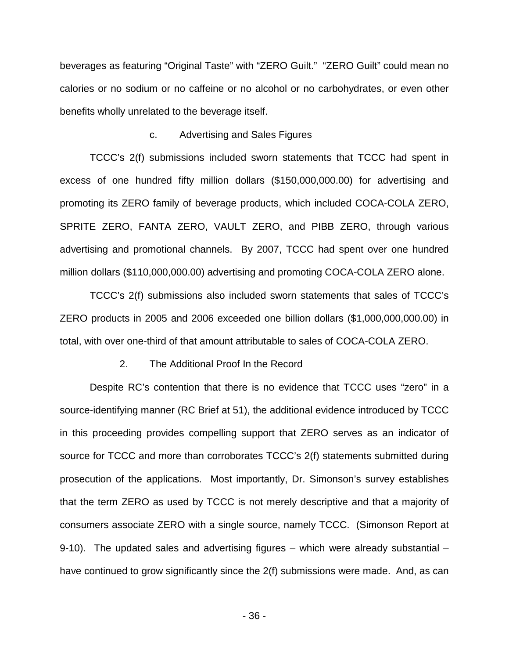beverages as featuring "Original Taste" with "ZERO Guilt." "ZERO Guilt" could mean no calories or no sodium or no caffeine or no alcohol or no carbohydrates, or even other benefits wholly unrelated to the beverage itself.

#### c. Advertising and Sales Figures

TCCC's 2(f) submissions included sworn statements that TCCC had spent in excess of one hundred fifty million dollars (\$150,000,000.00) for advertising and promoting its ZERO family of beverage products, which included COCA-COLA ZERO, SPRITE ZERO, FANTA ZERO, VAULT ZERO, and PIBB ZERO, through various advertising and promotional channels. By 2007, TCCC had spent over one hundred million dollars (\$110,000,000.00) advertising and promoting COCA-COLA ZERO alone.

TCCC's 2(f) submissions also included sworn statements that sales of TCCC's ZERO products in 2005 and 2006 exceeded one billion dollars (\$1,000,000,000.00) in total, with over one-third of that amount attributable to sales of COCA-COLA ZERO.

#### 2. The Additional Proof In the Record

Despite RC's contention that there is no evidence that TCCC uses "zero" in a source-identifying manner (RC Brief at 51), the additional evidence introduced by TCCC in this proceeding provides compelling support that ZERO serves as an indicator of source for TCCC and more than corroborates TCCC's 2(f) statements submitted during prosecution of the applications. Most importantly, Dr. Simonson's survey establishes that the term ZERO as used by TCCC is not merely descriptive and that a majority of consumers associate ZERO with a single source, namely TCCC. (Simonson Report at 9-10). The updated sales and advertising figures – which were already substantial – have continued to grow significantly since the 2(f) submissions were made. And, as can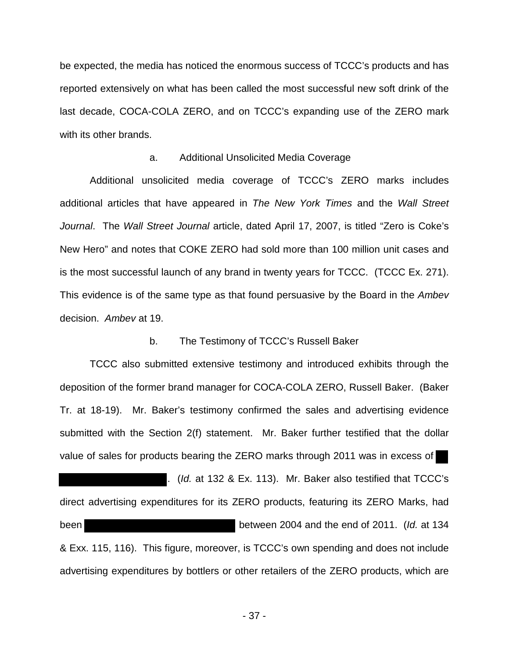be expected, the media has noticed the enormous success of TCCC's products and has reported extensively on what has been called the most successful new soft drink of the last decade, COCA-COLA ZERO, and on TCCC's expanding use of the ZERO mark with its other brands.

#### a. Additional Unsolicited Media Coverage

Additional unsolicited media coverage of TCCC's ZERO marks includes additional articles that have appeared in The New York Times and the Wall Street Journal. The Wall Street Journal article, dated April 17, 2007, is titled "Zero is Coke's New Hero" and notes that COKE ZERO had sold more than 100 million unit cases and is the most successful launch of any brand in twenty years for TCCC. (TCCC Ex. 271). This evidence is of the same type as that found persuasive by the Board in the Ambev decision. Ambev at 19.

#### b. The Testimony of TCCC's Russell Baker

TCCC also submitted extensive testimony and introduced exhibits through the deposition of the former brand manager for COCA-COLA ZERO, Russell Baker. (Baker Tr. at 18-19). Mr. Baker's testimony confirmed the sales and advertising evidence submitted with the Section 2(f) statement. Mr. Baker further testified that the dollar value of sales for products bearing the ZERO marks through 2011 was in excess of

. (Id. at 132 & Ex. 113). Mr. Baker also testified that TCCC's direct advertising expenditures for its ZERO products, featuring its ZERO Marks, had been between 2004 and the end of 2011. (Id. at 134 & Exx. 115, 116). This figure, moreover, is TCCC's own spending and does not include advertising expenditures by bottlers or other retailers of the ZERO products, which are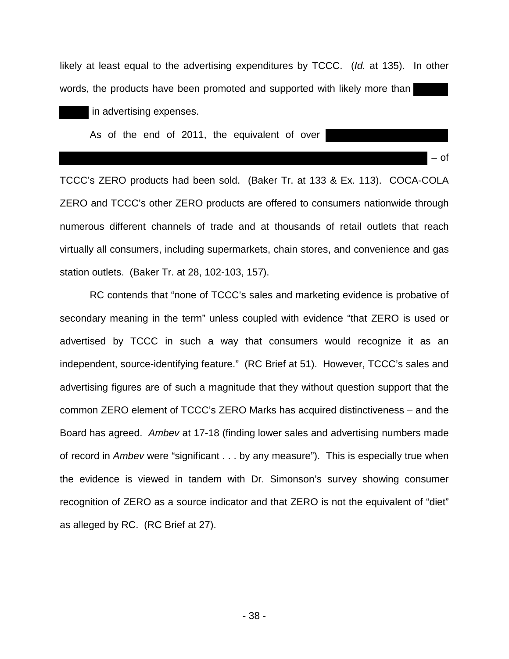likely at least equal to the advertising expenditures by TCCC. (Id. at 135). In other words, the products have been promoted and supported with likely more than

in advertising expenses.

As of the end of 2011, the equivalent of over

TCCC's ZERO products had been sold. (Baker Tr. at 133 & Ex. 113). COCA-COLA ZERO and TCCC's other ZERO products are offered to consumers nationwide through numerous different channels of trade and at thousands of retail outlets that reach virtually all consumers, including supermarkets, chain stores, and convenience and gas station outlets. (Baker Tr. at 28, 102-103, 157).

– of

RC contends that "none of TCCC's sales and marketing evidence is probative of secondary meaning in the term" unless coupled with evidence "that ZERO is used or advertised by TCCC in such a way that consumers would recognize it as an independent, source-identifying feature." (RC Brief at 51). However, TCCC's sales and advertising figures are of such a magnitude that they without question support that the common ZERO element of TCCC's ZERO Marks has acquired distinctiveness – and the Board has agreed. Ambev at 17-18 (finding lower sales and advertising numbers made of record in Ambey were "significant . . . by any measure"). This is especially true when the evidence is viewed in tandem with Dr. Simonson's survey showing consumer recognition of ZERO as a source indicator and that ZERO is not the equivalent of "diet" as alleged by RC. (RC Brief at 27).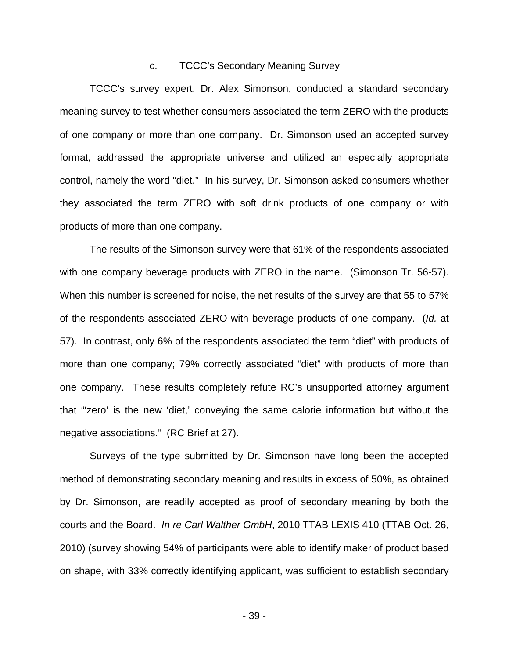#### c. TCCC's Secondary Meaning Survey

TCCC's survey expert, Dr. Alex Simonson, conducted a standard secondary meaning survey to test whether consumers associated the term ZERO with the products of one company or more than one company. Dr. Simonson used an accepted survey format, addressed the appropriate universe and utilized an especially appropriate control, namely the word "diet." In his survey, Dr. Simonson asked consumers whether they associated the term ZERO with soft drink products of one company or with products of more than one company.

The results of the Simonson survey were that 61% of the respondents associated with one company beverage products with ZERO in the name. (Simonson Tr. 56-57). When this number is screened for noise, the net results of the survey are that 55 to 57% of the respondents associated ZERO with beverage products of one company. (Id. at 57). In contrast, only 6% of the respondents associated the term "diet" with products of more than one company; 79% correctly associated "diet" with products of more than one company. These results completely refute RC's unsupported attorney argument that "'zero' is the new 'diet,' conveying the same calorie information but without the negative associations." (RC Brief at 27).

Surveys of the type submitted by Dr. Simonson have long been the accepted method of demonstrating secondary meaning and results in excess of 50%, as obtained by Dr. Simonson, are readily accepted as proof of secondary meaning by both the courts and the Board. In re Carl Walther GmbH, 2010 TTAB LEXIS 410 (TTAB Oct. 26, 2010) (survey showing 54% of participants were able to identify maker of product based on shape, with 33% correctly identifying applicant, was sufficient to establish secondary

- 39 -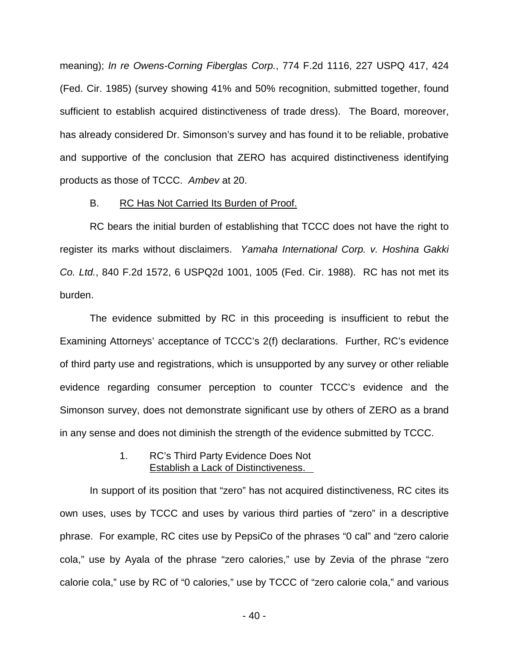meaning); In re Owens-Corning Fiberglas Corp., 774 F.2d 1116, 227 USPQ 417, 424 (Fed. Cir. 1985) (survey showing 41% and 50% recognition, submitted together, found sufficient to establish acquired distinctiveness of trade dress). The Board, moreover, has already considered Dr. Simonson's survey and has found it to be reliable, probative and supportive of the conclusion that ZERO has acquired distinctiveness identifying products as those of TCCC. Ambev at 20.

### B. RC Has Not Carried Its Burden of Proof.

RC bears the initial burden of establishing that TCCC does not have the right to register its marks without disclaimers. Yamaha International Corp. v. Hoshina Gakki Co. Ltd., 840 F.2d 1572, 6 USPQ2d 1001, 1005 (Fed. Cir. 1988). RC has not met its burden.

The evidence submitted by RC in this proceeding is insufficient to rebut the Examining Attorneys' acceptance of TCCC's 2(f) declarations. Further, RC's evidence of third party use and registrations, which is unsupported by any survey or other reliable evidence regarding consumer perception to counter TCCC's evidence and the Simonson survey, does not demonstrate significant use by others of ZERO as a brand in any sense and does not diminish the strength of the evidence submitted by TCCC.

## 1. RC's Third Party Evidence Does Not Establish a Lack of Distinctiveness.

In support of its position that "zero" has not acquired distinctiveness, RC cites its own uses, uses by TCCC and uses by various third parties of "zero" in a descriptive phrase. For example, RC cites use by PepsiCo of the phrases "0 cal" and "zero calorie cola," use by Ayala of the phrase "zero calories," use by Zevia of the phrase "zero calorie cola," use by RC of "0 calories," use by TCCC of "zero calorie cola," and various

- 40 -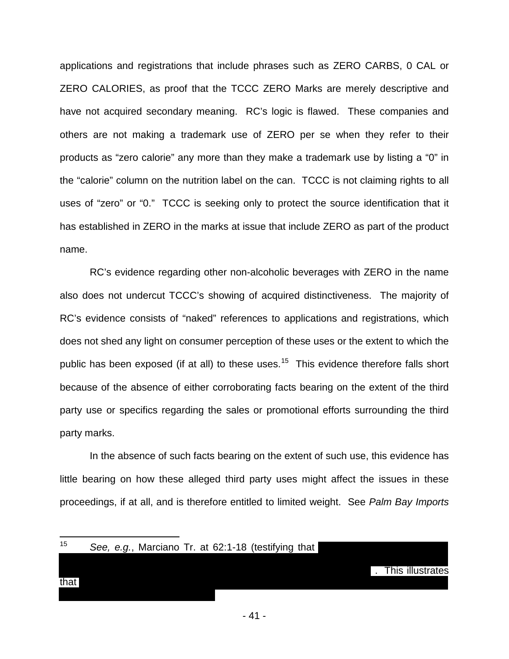applications and registrations that include phrases such as ZERO CARBS, 0 CAL or ZERO CALORIES, as proof that the TCCC ZERO Marks are merely descriptive and have not acquired secondary meaning. RC's logic is flawed. These companies and others are not making a trademark use of ZERO per se when they refer to their products as "zero calorie" any more than they make a trademark use by listing a "0" in the "calorie" column on the nutrition label on the can. TCCC is not claiming rights to all uses of "zero" or "0." TCCC is seeking only to protect the source identification that it has established in ZERO in the marks at issue that include ZERO as part of the product name.

RC's evidence regarding other non-alcoholic beverages with ZERO in the name also does not undercut TCCC's showing of acquired distinctiveness. The majority of RC's evidence consists of "naked" references to applications and registrations, which does not shed any light on consumer perception of these uses or the extent to which the public has been exposed (if at all) to these uses.<sup>[15](#page-44-0)</sup> This evidence therefore falls short because of the absence of either corroborating facts bearing on the extent of the third party use or specifics regarding the sales or promotional efforts surrounding the third party marks.

In the absence of such facts bearing on the extent of such use, this evidence has little bearing on how these alleged third party uses might affect the issues in these proceedings, if at all, and is therefore entitled to limited weight. See Palm Bay Imports

| 15   |  |  | See, e.g., Marciano Tr. at 62:1-18 (testifying that |  |  |                  |
|------|--|--|-----------------------------------------------------|--|--|------------------|
|      |  |  |                                                     |  |  |                  |
|      |  |  |                                                     |  |  | This illustrates |
| that |  |  |                                                     |  |  |                  |
|      |  |  |                                                     |  |  |                  |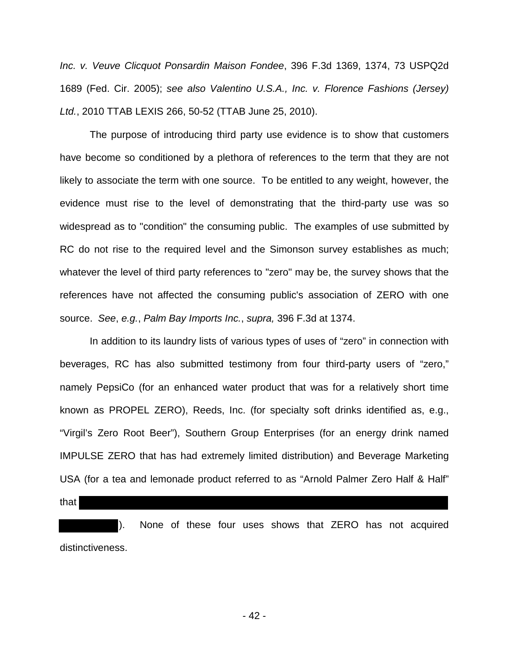Inc. v. Veuve Clicquot Ponsardin Maison Fondee, 396 F.3d 1369, 1374, 73 USPQ2d 1689 (Fed. Cir. 2005); see also Valentino U.S.A., Inc. v. Florence Fashions (Jersey) Ltd., 2010 TTAB LEXIS 266, 50-52 (TTAB June 25, 2010).

The purpose of introducing third party use evidence is to show that customers have become so conditioned by a plethora of references to the term that they are not likely to associate the term with one source. To be entitled to any weight, however, the evidence must rise to the level of demonstrating that the third-party use was so widespread as to "condition" the consuming public. The examples of use submitted by RC do not rise to the required level and the Simonson survey establishes as much; whatever the level of third party references to "zero" may be, the survey shows that the references have not affected the consuming public's association of ZERO with one source. See, e.g., Palm Bay Imports Inc., supra, 396 F.3d at 1374.

In addition to its laundry lists of various types of uses of "zero" in connection with beverages, RC has also submitted testimony from four third-party users of "zero," namely PepsiCo (for an enhanced water product that was for a relatively short time known as PROPEL ZERO), Reeds, Inc. (for specialty soft drinks identified as, e.g., "Virgil's Zero Root Beer"), Southern Group Enterprises (for an energy drink named IMPULSE ZERO that has had extremely limited distribution) and Beverage Marketing USA (for a tea and lemonade product referred to as "Arnold Palmer Zero Half & Half"

that

). None of these four uses shows that ZERO has not acquired distinctiveness.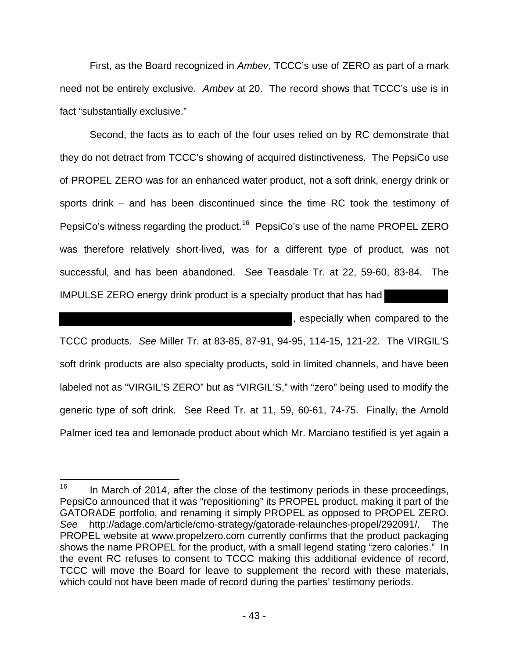First, as the Board recognized in Ambev, TCCC's use of ZERO as part of a mark need not be entirely exclusive. Ambev at 20. The record shows that TCCC's use is in fact "substantially exclusive."

Second, the facts as to each of the four uses relied on by RC demonstrate that they do not detract from TCCC's showing of acquired distinctiveness. The PepsiCo use of PROPEL ZERO was for an enhanced water product, not a soft drink, energy drink or sports drink – and has been discontinued since the time RC took the testimony of PepsiCo's witness regarding the product.<sup>[16](#page-46-0)</sup> PepsiCo's use of the name PROPEL ZERO was therefore relatively short-lived, was for a different type of product, was not successful, and has been abandoned.See Teasdale Tr. at 22, 59-60, 83-84. The IMPULSE ZERO energy drink product is a specialty product that has had

, especially when compared to the TCCC products. See Miller Tr. at 83-85, 87-91, 94-95, 114-15, 121-22. The VIRGIL'S soft drink products are also specialty products, sold in limited channels, and have been labeled not as "VIRGIL'S ZERO" but as "VIRGIL'S," with "zero" being used to modify the generic type of soft drink. See Reed Tr. at 11, 59, 60-61, 74-75.Finally, the Arnold Palmer iced tea and lemonade product about which Mr. Marciano testified is yet again a

<span id="page-44-0"></span> $\frac{1}{16}$  In March of 2014, after the close of the testimony periods in these proceedings, PepsiCo announced that it was "repositioning" its PROPEL product, making it part of the GATORADE portfolio, and renaming it simply PROPEL as opposed to PROPEL ZERO. See http://adage.com/article/cmo-strategy/gatorade-relaunches-propel/292091/. The PROPEL website at www.propelzero.com currently confirms that the product packaging shows the name PROPEL for the product, with a small legend stating "zero calories." In the event RC refuses to consent to TCCC making this additional evidence of record, TCCC will move the Board for leave to supplement the record with these materials, which could not have been made of record during the parties' testimony periods.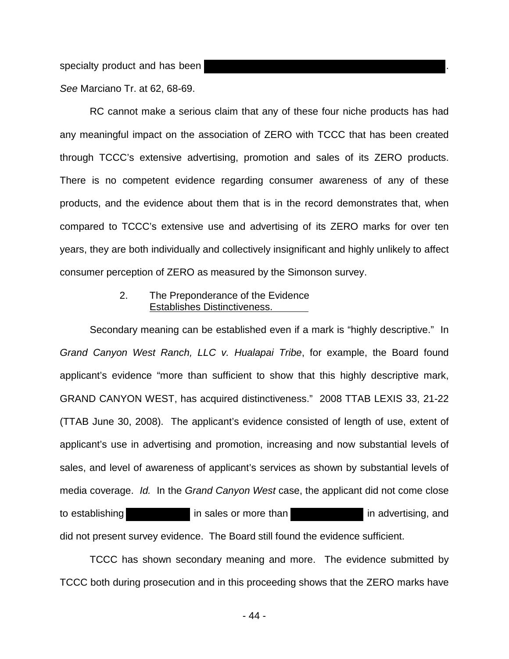specialty product and has been

See Marciano Tr. at 62, 68-69.

RC cannot make a serious claim that any of these four niche products has had any meaningful impact on the association of ZERO with TCCC that has been created through TCCC's extensive advertising, promotion and sales of its ZERO products. There is no competent evidence regarding consumer awareness of any of these products, and the evidence about them that is in the record demonstrates that, when compared to TCCC's extensive use and advertising of its ZERO marks for over ten years, they are both individually and collectively insignificant and highly unlikely to affect consumer perception of ZERO as measured by the Simonson survey.

## 2. The Preponderance of the Evidence Establishes Distinctiveness.

Secondary meaning can be established even if a mark is "highly descriptive." In Grand Canyon West Ranch, LLC v. Hualapai Tribe, for example, the Board found applicant's evidence "more than sufficient to show that this highly descriptive mark, GRAND CANYON WEST, has acquired distinctiveness." 2008 TTAB LEXIS 33, 21-22 (TTAB June 30, 2008). The applicant's evidence consisted of length of use, extent of applicant's use in advertising and promotion, increasing and now substantial levels of sales, and level of awareness of applicant's services as shown by substantial levels of media coverage. Id. In the Grand Canyon West case, the applicant did not come close to establishing in sales or more than in advertising, and did not present survey evidence. The Board still found the evidence sufficient.

TCCC has shown secondary meaning and more. The evidence submitted by TCCC both during prosecution and in this proceeding shows that the ZERO marks have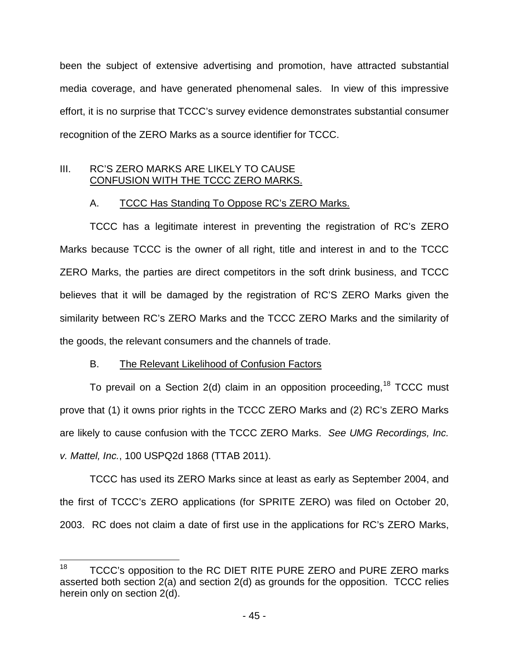been the subject of extensive advertising and promotion, have attracted substantial media coverage, and have generated phenomenal sales. In view of this impressive effort, it is no surprise that TCCC's survey evidence demonstrates substantial consumer recognition of the ZERO Marks as a source identifier for TCCC.

# III. RC'S ZERO MARKS ARE LIKELY TO CAUSE CONFUSION WITH THE TCCC ZERO MARKS.

# A. TCCC Has Standing To Oppose RC's ZERO Marks.

TCCC has a legitimate interest in preventing the registration of RC's ZERO Marks because TCCC is the owner of all right, title and interest in and to the TCCC ZERO Marks, the parties are direct competitors in the soft drink business, and TCCC believes that it will be damaged by the registration of RC'S ZERO Marks given the similarity between RC's ZERO Marks and the TCCC ZERO Marks and the similarity of the goods, the relevant consumers and the channels of trade.

# B. The Relevant Likelihood of Confusion Factors

To prevail on a Section  $2(d)$  claim in an opposition proceeding, <sup>[18](#page-48-0)</sup> TCCC must prove that (1) it owns prior rights in the TCCC ZERO Marks and (2) RC's ZERO Marks are likely to cause confusion with the TCCC ZERO Marks. See UMG Recordings, Inc. v. Mattel, Inc., 100 USPQ2d 1868 (TTAB 2011).

<span id="page-46-0"></span>TCCC has used its ZERO Marks since at least as early as September 2004, and the first of TCCC's ZERO applications (for SPRITE ZERO) was filed on October 20, 2003. RC does not claim a date of first use in the applications for RC's ZERO Marks,

<span id="page-46-1"></span> $\frac{1}{18}$  TCCC's opposition to the RC DIET RITE PURE ZERO and PURE ZERO marks asserted both section 2(a) and section 2(d) as grounds for the opposition. TCCC relies herein only on section 2(d).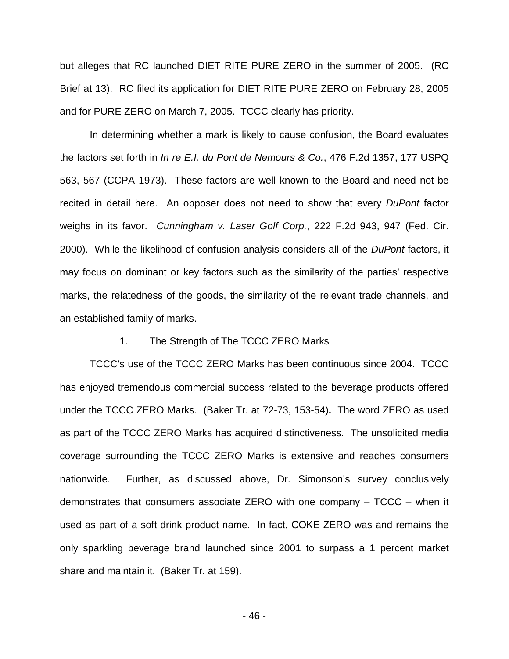but alleges that RC launched DIET RITE PURE ZERO in the summer of 2005. (RC Brief at 13). RC filed its application for DIET RITE PURE ZERO on February 28, 2005 and for PURE ZERO on March 7, 2005. TCCC clearly has priority.

In determining whether a mark is likely to cause confusion, the Board evaluates the factors set forth in In re E.I. du Pont de Nemours & Co., 476 F.2d 1357, 177 USPQ 563, 567 (CCPA 1973). These factors are well known to the Board and need not be recited in detail here. An opposer does not need to show that every DuPont factor weighs in its favor. Cunningham v. Laser Golf Corp., 222 F.2d 943, 947 (Fed. Cir. 2000). While the likelihood of confusion analysis considers all of the DuPont factors, it may focus on dominant or key factors such as the similarity of the parties' respective marks, the relatedness of the goods, the similarity of the relevant trade channels, and an established family of marks.

#### 1. The Strength of The TCCC ZERO Marks

TCCC's use of the TCCC ZERO Marks has been continuous since 2004. TCCC has enjoyed tremendous commercial success related to the beverage products offered under the TCCC ZERO Marks. (Baker Tr. at 72-73, 153-54)**.** The word ZERO as used as part of the TCCC ZERO Marks has acquired distinctiveness. The unsolicited media coverage surrounding the TCCC ZERO Marks is extensive and reaches consumers nationwide. Further, as discussed above, Dr. Simonson's survey conclusively demonstrates that consumers associate ZERO with one company – TCCC – when it used as part of a soft drink product name. In fact, COKE ZERO was and remains the only sparkling beverage brand launched since 2001 to surpass a 1 percent market share and maintain it. (Baker Tr. at 159).

- 46 -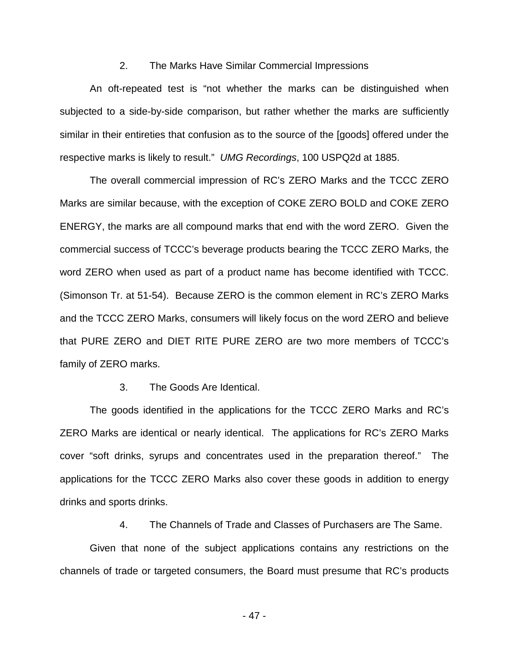#### 2. The Marks Have Similar Commercial Impressions

An oft-repeated test is "not whether the marks can be distinguished when subjected to a side-by-side comparison, but rather whether the marks are sufficiently similar in their entireties that confusion as to the source of the [goods] offered under the respective marks is likely to result." UMG Recordings, 100 USPQ2d at 1885.

The overall commercial impression of RC's ZERO Marks and the TCCC ZERO Marks are similar because, with the exception of COKE ZERO BOLD and COKE ZERO ENERGY, the marks are all compound marks that end with the word ZERO. Given the commercial success of TCCC's beverage products bearing the TCCC ZERO Marks, the word ZERO when used as part of a product name has become identified with TCCC. (Simonson Tr. at 51-54). Because ZERO is the common element in RC's ZERO Marks and the TCCC ZERO Marks, consumers will likely focus on the word ZERO and believe that PURE ZERO and DIET RITE PURE ZERO are two more members of TCCC's family of ZERO marks.

#### 3. The Goods Are Identical.

The goods identified in the applications for the TCCC ZERO Marks and RC's ZERO Marks are identical or nearly identical. The applications for RC's ZERO Marks cover "soft drinks, syrups and concentrates used in the preparation thereof." The applications for the TCCC ZERO Marks also cover these goods in addition to energy drinks and sports drinks.

4. The Channels of Trade and Classes of Purchasers are The Same.

<span id="page-48-0"></span>Given that none of the subject applications contains any restrictions on the channels of trade or targeted consumers, the Board must presume that RC's products

- 47 -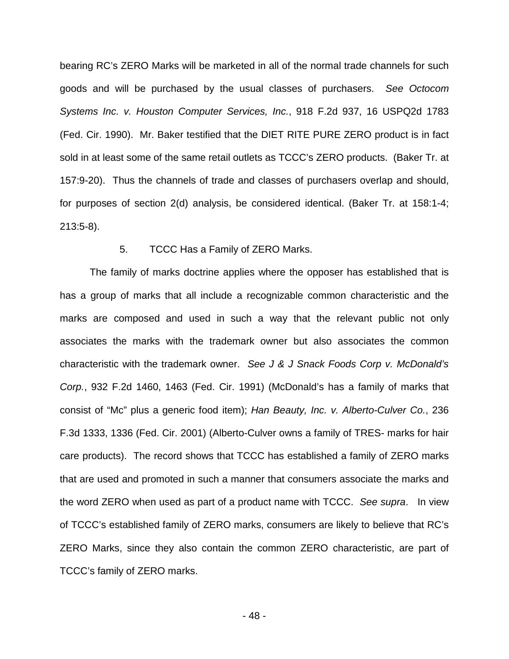bearing RC's ZERO Marks will be marketed in all of the normal trade channels for such goods and will be purchased by the usual classes of purchasers. See Octocom Systems Inc. v. Houston Computer Services, Inc., 918 F.2d 937, 16 USPQ2d 1783 (Fed. Cir. 1990). Mr. Baker testified that the DIET RITE PURE ZERO product is in fact sold in at least some of the same retail outlets as TCCC's ZERO products. (Baker Tr. at 157:9-20). Thus the channels of trade and classes of purchasers overlap and should, for purposes of section 2(d) analysis, be considered identical. (Baker Tr. at 158:1-4; 213:5-8).

#### 5. TCCC Has a Family of ZERO Marks.

The family of marks doctrine applies where the opposer has established that is has a group of marks that all include a recognizable common characteristic and the marks are composed and used in such a way that the relevant public not only associates the marks with the trademark owner but also associates the common characteristic with the trademark owner. See J & J Snack Foods Corp v. McDonald's Corp., 932 F.2d 1460, 1463 (Fed. Cir. 1991) (McDonald's has a family of marks that consist of "Mc" plus a generic food item); Han Beauty, Inc. v. Alberto-Culver Co., 236 F.3d 1333, 1336 (Fed. Cir. 2001) (Alberto-Culver owns a family of TRES- marks for hair care products). The record shows that TCCC has established a family of ZERO marks that are used and promoted in such a manner that consumers associate the marks and the word ZERO when used as part of a product name with TCCC. See supra. In view of TCCC's established family of ZERO marks, consumers are likely to believe that RC's ZERO Marks, since they also contain the common ZERO characteristic, are part of TCCC's family of ZERO marks.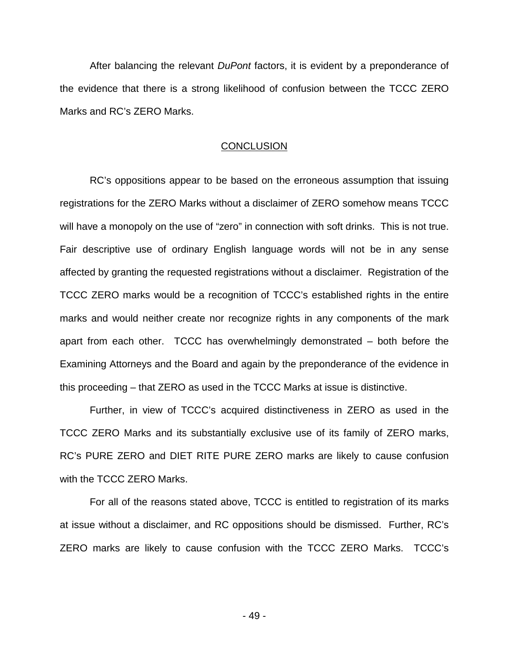After balancing the relevant *DuPont* factors, it is evident by a preponderance of the evidence that there is a strong likelihood of confusion between the TCCC ZERO Marks and RC's ZERO Marks.

### **CONCLUSION**

RC's oppositions appear to be based on the erroneous assumption that issuing registrations for the ZERO Marks without a disclaimer of ZERO somehow means TCCC will have a monopoly on the use of "zero" in connection with soft drinks. This is not true. Fair descriptive use of ordinary English language words will not be in any sense affected by granting the requested registrations without a disclaimer. Registration of the TCCC ZERO marks would be a recognition of TCCC's established rights in the entire marks and would neither create nor recognize rights in any components of the mark apart from each other. TCCC has overwhelmingly demonstrated – both before the Examining Attorneys and the Board and again by the preponderance of the evidence in this proceeding – that ZERO as used in the TCCC Marks at issue is distinctive.

Further, in view of TCCC's acquired distinctiveness in ZERO as used in the TCCC ZERO Marks and its substantially exclusive use of its family of ZERO marks, RC's PURE ZERO and DIET RITE PURE ZERO marks are likely to cause confusion with the TCCC ZERO Marks.

For all of the reasons stated above, TCCC is entitled to registration of its marks at issue without a disclaimer, and RC oppositions should be dismissed. Further, RC's ZERO marks are likely to cause confusion with the TCCC ZERO Marks. TCCC's

- 49 -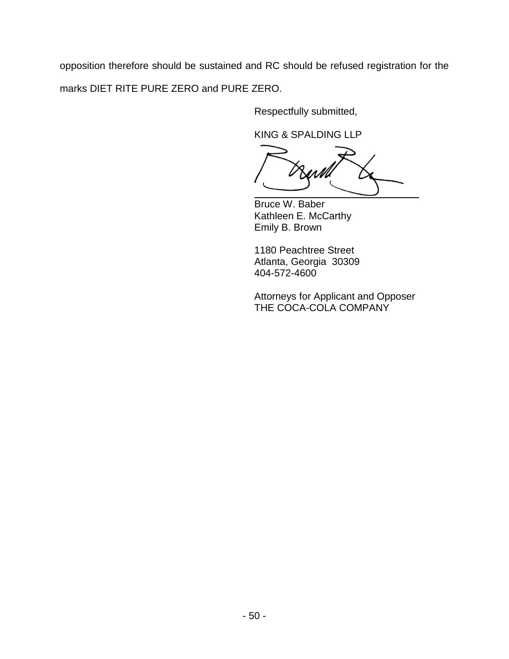opposition therefore should be sustained and RC should be refused registration for the marks DIET RITE PURE ZERO and PURE ZERO.

Respectfully submitted,

KING & SPALDING LLP

 $\overline{a}$ 

Bruce W. Baber Kathleen E. McCarthy Emily B. Brown

1180 Peachtree Street Atlanta, Georgia 30309 404-572-4600

Attorneys for Applicant and Opposer THE COCA-COLA COMPANY